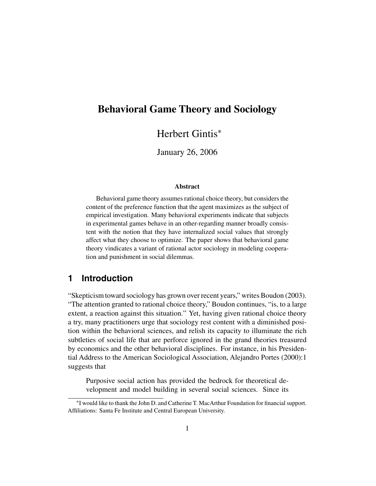# **Behavioral Game Theory and Sociology**

Herbert Gintis<sup>∗</sup>

January 26, 2006

#### **Abstract**

Behavioral game theory assumes rational choice theory, but considers the content of the preference function that the agent maximizes as the subject of empirical investigation. Many behavioral experiments indicate that subjects in experimental games behave in an other-regarding manner broadly consistent with the notion that they have internalized social values that strongly affect what they choose to optimize. The paper shows that behavioral game theory vindicates a variant of rational actor sociology in modeling cooperation and punishment in social dilemmas.

#### **1 Introduction**

"Skepticism toward sociology has grown over recent years," writes Boudon (2003). "The attention granted to rational choice theory," Boudon continues, "is, to a large extent, a reaction against this situation." Yet, having given rational choice theory a try, many practitioners urge that sociology rest content with a diminished position within the behavioral sciences, and relish its capacity to illuminate the rich subtleties of social life that are perforce ignored in the grand theories treasured by economics and the other behavioral disciplines. For instance, in his Presidential Address to the American Sociological Association, Alejandro Portes (2000):1 suggests that

Purposive social action has provided the bedrock for theoretical development and model building in several social sciences. Since its

<sup>∗</sup>I would like to thank the John D. and Catherine T. MacArthur Foundation for financial support. Affiliations: Santa Fe Institute and Central European University.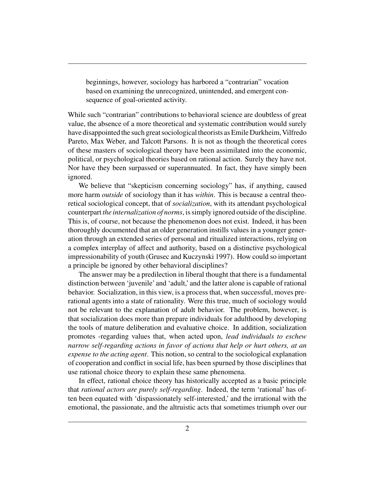beginnings, however, sociology has harbored a "contrarian" vocation based on examining the unrecognized, unintended, and emergent consequence of goal-oriented activity.

While such "contrarian" contributions to behavioral science are doubtless of great value, the absence of a more theoretical and systematic contribution would surely have disappointed the such great sociological theorists as Emile Durkheim, Vilfredo Pareto, Max Weber, and Talcott Parsons. It is not as though the theoretical cores of these masters of sociological theory have been assimilated into the economic, political, or psychological theories based on rational action. Surely they have not. Nor have they been surpassed or superannuated. In fact, they have simply been ignored.

We believe that "skepticism concerning sociology" has, if anything, caused more harm *outside* of sociology than it has *within*. This is because a central theoretical sociological concept, that of *socialization*, with its attendant psychological counterpart *the internalization of norms*, is simply ignored outside of the discipline. This is, of course, not because the phenomenon does not exist. Indeed, it has been thoroughly documented that an older generation instills values in a younger generation through an extended series of personal and ritualized interactions, relying on a complex interplay of affect and authority, based on a distinctive psychological impressionability of youth (Grusec and Kuczynski 1997). How could so important a principle be ignored by other behavioral disciplines?

The answer may be a predilection in liberal thought that there is a fundamental distinction between 'juvenile' and 'adult,' and the latter alone is capable of rational behavior. Socialization, in this view, is a process that, when successful, moves prerational agents into a state of rationality. Were this true, much of sociology would not be relevant to the explanation of adult behavior. The problem, however, is that socialization does more than prepare individuals for adulthood by developing the tools of mature deliberation and evaluative choice. In addition, socialization promotes -regarding values that, when acted upon, *lead individuals to eschew narrow self-regarding actions in favor of actions that help or hurt others, at an expense to the acting agent*. This notion, so central to the sociological explanation of cooperation and conflict in social life, has been spurned by those disciplines that use rational choice theory to explain these same phenomena.

In effect, rational choice theory has historically accepted as a basic principle that *rational actors are purely self-regarding*. Indeed, the term 'rational' has often been equated with 'dispassionately self-interested,' and the irrational with the emotional, the passionate, and the altruistic acts that sometimes triumph over our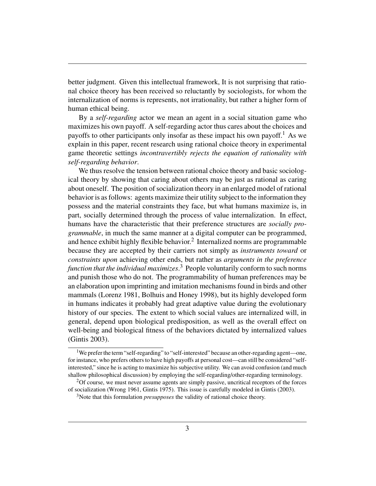better judgment. Given this intellectual framework, It is not surprising that rational choice theory has been received so reluctantly by sociologists, for whom the internalization of norms is represents, not irrationality, but rather a higher form of human ethical being.

By a *self-regarding* actor we mean an agent in a social situation game who maximizes his own payoff. A self-regarding actor thus cares about the choices and payoffs to other participants only insofar as these impact his own payoff.<sup>1</sup> As we explain in this paper, recent research using rational choice theory in experimental game theoretic settings *incontravertibly rejects the equation of rationality with self-regarding behavior*.

We thus resolve the tension between rational choice theory and basic sociological theory by showing that caring about others may be just as rational as caring about oneself. The position of socialization theory in an enlarged model of rational behavior is as follows: agents maximize their utility subject to the information they possess and the material constraints they face, but what humans maximize is, in part, socially determined through the process of value internalization. In effect, humans have the characteristic that their preference structures are *socially programmable*, in much the same manner at a digital computer can be programmed, and hence exhibit highly flexible behavior.<sup>2</sup> Internalized norms are programmable because they are accepted by their carriers not simply as *instruments toward* or *constraints upon* achieving other ends, but rather as *arguments in the preference function that the individual maximizes*. <sup>3</sup> People voluntarily conform to such norms and punish those who do not. The programmability of human preferences may be an elaboration upon imprinting and imitation mechanisms found in birds and other mammals (Lorenz 1981, Bolhuis and Honey 1998), but its highly developed form in humans indicates it probably had great adaptive value during the evolutionary history of our species. The extent to which social values are internalized will, in general, depend upon biological predisposition, as well as the overall effect on well-being and biological fitness of the behaviors dictated by internalized values (Gintis 2003).

<sup>&</sup>lt;sup>1</sup>We prefer the term "self-regarding" to "self-interested" because an other-regarding agent—one, for instance, who prefers others to have high payoffs at personal cost—can still be considered "selfinterested," since he is acting to maximize his subjective utility. We can avoid confusion (and much shallow philosophical discussion) by employing the self-regarding/other-regarding terminology.

 ${}^{2}$ Of course, we must never assume agents are simply passive, uncritical receptors of the forces of socialization (Wrong 1961, Gintis 1975). This issue is carefully modeled in Gintis (2003).

<sup>3</sup>Note that this formulation *presupposes* the validity of rational choice theory.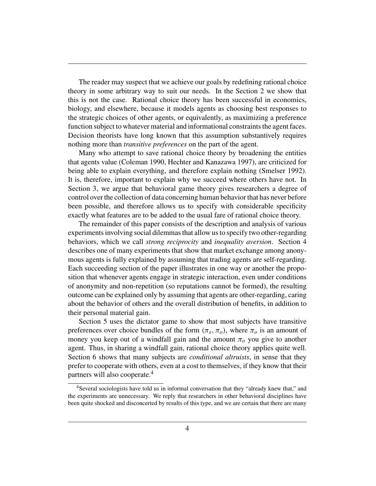The reader may suspect that we achieve our goals by redefining rational choice theory in some arbitrary way to suit our needs. In the Section 2 we show that this is not the case. Rational choice theory has been successful in economics, biology, and elsewhere, because it models agents as choosing best responses to the strategic choices of other agents, or equivalently, as maximizing a preference function subject to whatever material and informational constraints the agent faces. Decision theorists have long known that this assumption substantively requires nothing more than *transitive preferences* on the part of the agent.

Many who attempt to save rational choice theory by broadening the entities that agents value (Coleman 1990, Hechter and Kanazawa 1997), are criticized for being able to explain everything, and therefore explain nothing (Smelser 1992). It is, therefore, important to explain why we succeed where others have not. In Section 3, we argue that behavioral game theory gives researchers a degree of control over the collection of data concerning human behavior that has never before been possible, and therefore allows us to specify with considerable specificity exactly what features are to be added to the usual fare of rational choice theory.

The remainder of this paper consists of the description and analysis of various experiments involving social dilemmas that allow us to specify two other-regarding behaviors, which we call *strong reciprocity* and *inequality aversion*. Section 4 describes one of many experiments that show that market exchange among anonymous agents is fully explained by assuming that trading agents are self-regarding. Each succeeding section of the paper illustrates in one way or another the proposition that whenever agents engage in strategic interaction, even under conditions of anonymity and non-repetition (so reputations cannot be formed), the resulting outcome can be explained only by assuming that agents are other-regarding, caring about the behavior of others and the overall distribution of benefits, in addition to their personal material gain.

Section 5 uses the dictator game to show that most subjects have transitive preferences over choice bundles of the form  $(\pi_s, \pi_o)$ , where  $\pi_o$  is an amount of money you keep out of a windfall gain and the amount  $\pi_o$  you give to another agent. Thus, in sharing a windfall gain, rational choice theory applies quite well. Section 6 shows that many subjects are *conditional altruists*, in sense that they prefer to cooperate with others, even at a cost to themselves, if they know that their partners will also cooperate.4

<sup>&</sup>lt;sup>4</sup>Several sociologists have told us in informal conversation that they "already knew that," and the experiments are unnecessary. We reply that researchers in other behavioral disciplines have been quite shocked and disconcerted by results of this type, and we are certain that there are many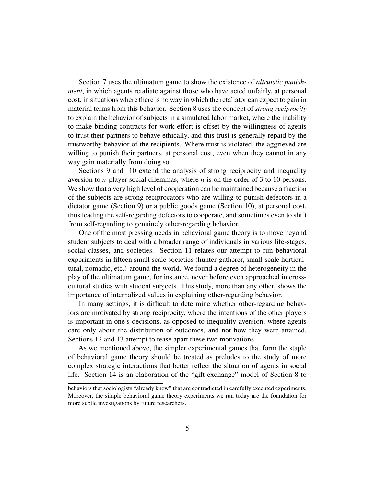Section 7 uses the ultimatum game to show the existence of *altruistic punishment*, in which agents retaliate against those who have acted unfairly, at personal cost, in situations where there is no way in which the retaliator can expect to gain in material terms from this behavior. Section 8 uses the concept of *strong reciprocity* to explain the behavior of subjects in a simulated labor market, where the inability to make binding contracts for work effort is offset by the willingness of agents to trust their partners to behave ethically, and this trust is generally repaid by the trustworthy behavior of the recipients. Where trust is violated, the aggrieved are willing to punish their partners, at personal cost, even when they cannot in any way gain materially from doing so.

Sections 9 and 10 extend the analysis of strong reciprocity and inequality aversion to *n*-player social dilemmas, where *n* is on the order of 3 to 10 persons. We show that a very high level of cooperation can be maintained because a fraction of the subjects are strong reciprocators who are willing to punish defectors in a dictator game (Section 9) or a public goods game (Section 10), at personal cost, thus leading the self-regarding defectors to cooperate, and sometimes even to shift from self-regarding to genuinely other-regarding behavior.

One of the most pressing needs in behavioral game theory is to move beyond student subjects to deal with a broader range of individuals in various life-stages, social classes, and societies. Section 11 relates our attempt to run behavioral experiments in fifteen small scale societies (hunter-gatherer, small-scale horticultural, nomadic, etc.) around the world. We found a degree of heterogeneity in the play of the ultimatum game, for instance, never before even approached in crosscultural studies with student subjects. This study, more than any other, shows the importance of internalized values in explaining other-regarding behavior.

In many settings, it is difficult to determine whether other-regarding behaviors are motivated by strong reciprocity, where the intentions of the other players is important in one's decisions, as opposed to inequality aversion, where agents care only about the distribution of outcomes, and not how they were attained. Sections 12 and 13 attempt to tease apart these two motivations.

As we mentioned above, the simpler experimental games that form the staple of behavioral game theory should be treated as preludes to the study of more complex strategic interactions that better reflect the situation of agents in social life. Section 14 is an elaboration of the "gift exchange" model of Section 8 to

behaviors that sociologists "already know" that are contradicted in carefully executed experiments. Moreover, the simple behavioral game theory experiments we run today are the foundation for more subtle investigations by future researchers.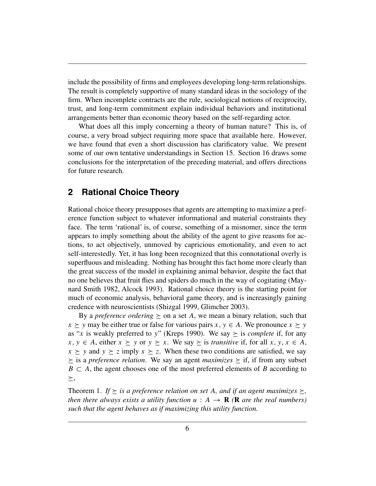include the possibility of firms and employees developing long-term relationships. The result is completely supportive of many standard ideas in the sociology of the firm. When incomplete contracts are the rule, sociological notions of reciprocity, trust, and long-term commitment explain individual behaviors and institutional arrangements better than economic theory based on the self-regarding actor.

What does all this imply concerning a theory of human nature? This is, of course, a very broad subject requiring more space that available here. However, we have found that even a short discussion has clarificatory value. We present some of our own tentative understandings in Section 15. Section 16 draws some conclusions for the interpretation of the preceding material, and offers directions for future research.

#### **2 Rational Choice Theory**

Rational choice theory presupposes that agents are attempting to maximize a preference function subject to whatever informational and material constraints they face. The term 'rational' is, of course, something of a misnomer, since the term appears to imply something about the ability of the agent to give reasons for actions, to act objectively, unmoved by capricious emotionality, and even to act self-interestedly. Yet, it has long been recognized that this connotational overly is superfluous and misleading. Nothing has brought this fact home more clearly than the great success of the model in explaining animal behavior, despite the fact that no one believes that fruit flies and spiders do much in the way of cogitating (Maynard Smith 1982, Alcock 1993). Rational choice theory is the starting point for much of economic analysis, behavioral game theory, and is increasingly gaining credence with neuroscientists (Shizgal 1999, Glimcher 2003).

By a *preference ordering*  $\succeq$  on a set A, we mean a binary relation, such that  $x \geq y$  may be either true or false for various pairs  $x, y \in A$ . We pronounce  $x \geq y$ as "x is weakly preferred to y" (Kreps 1990). We say  $\succeq$  is *complete* if, for any  $x, y \in A$ , either  $x \succeq y$  or  $y \succeq x$ . We say  $\succeq$  is *transitive* if, for all  $x, y, x \in A$ ,  $x \ge y$  and  $y \ge z$  imply  $x \ge z$ . When these two conditions are satisfied, we say  $\geq$  is a *preference relation*. We say an agent *maximizes*  $\geq$  if, if from any subset  $B \subset A$ , the agent chooses one of the most preferred elements of B according to  $\succeq$ 

Theorem 1. *If*  $\succeq$  *is a preference relation on set A, and if an agent maximizes*  $\succeq$ *, then there always exists a utility function*  $u : A \rightarrow \mathbf{R}$  *(***R** *are the real numbers) such that the agent behaves as if maximizing this utility function.*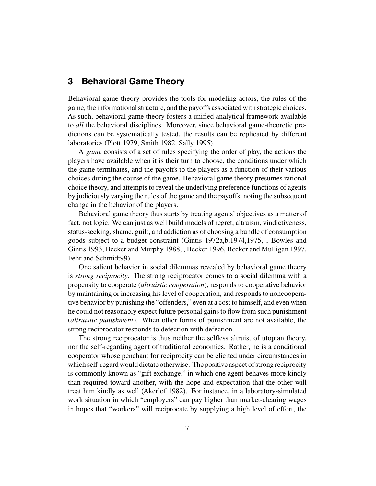# **3 Behavioral Game Theory**

Behavioral game theory provides the tools for modeling actors, the rules of the game, the informational structure, and the payoffs associated with strategic choices. As such, behavioral game theory fosters a unified analytical framework available to *all* the behavioral disciplines. Moreover, since behavioral game-theoretic predictions can be systematically tested, the results can be replicated by different laboratories (Plott 1979, Smith 1982, Sally 1995).

A *game* consists of a set of rules specifying the order of play, the actions the players have available when it is their turn to choose, the conditions under which the game terminates, and the payoffs to the players as a function of their various choices during the course of the game. Behavioral game theory presumes rational choice theory, and attempts to reveal the underlying preference functions of agents by judiciously varying the rules of the game and the payoffs, noting the subsequent change in the behavior of the players.

Behavioral game theory thus starts by treating agents' objectives as a matter of fact, not logic. We can just as well build models of regret, altruism, vindictiveness, status-seeking, shame, guilt, and addiction as of choosing a bundle of consumption goods subject to a budget constraint (Gintis 1972a,b,1974,1975, , Bowles and Gintis 1993, Becker and Murphy 1988, , Becker 1996, Becker and Mulligan 1997, Fehr and Schmidt99)..

One salient behavior in social dilemmas revealed by behavioral game theory is *strong reciprocity*. The strong reciprocator comes to a social dilemma with a propensity to cooperate (*altruistic cooperation*), responds to cooperative behavior by maintaining or increasing his level of cooperation, and responds to noncooperative behavior by punishing the "offenders," even at a cost to himself, and even when he could not reasonably expect future personal gains to flow from such punishment (*altruistic punishment*). When other forms of punishment are not available, the strong reciprocator responds to defection with defection.

The strong reciprocator is thus neither the selfless altruist of utopian theory, nor the self-regarding agent of traditional economics. Rather, he is a conditional cooperator whose penchant for reciprocity can be elicited under circumstances in which self-regard would dictate otherwise. The positive aspect of strong reciprocity is commonly known as "gift exchange," in which one agent behaves more kindly than required toward another, with the hope and expectation that the other will treat him kindly as well (Akerlof 1982). For instance, in a laboratory-simulated work situation in which "employers" can pay higher than market-clearing wages in hopes that "workers" will reciprocate by supplying a high level of effort, the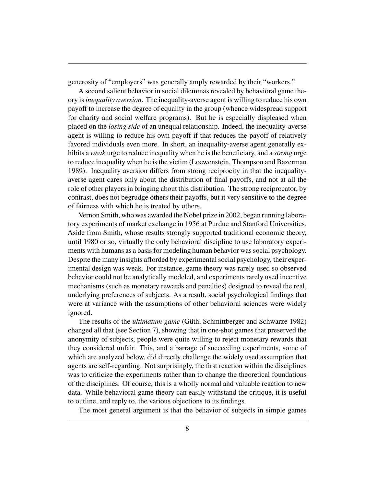generosity of "employers" was generally amply rewarded by their "workers."

A second salient behavior in social dilemmas revealed by behavioral game theory is*inequality aversion*. The inequality-averse agent is willing to reduce his own payoff to increase the degree of equality in the group (whence widespread support for charity and social welfare programs). But he is especially displeased when placed on the *losing side* of an unequal relationship. Indeed, the inequality-averse agent is willing to reduce his own payoff if that reduces the payoff of relatively favored individuals even more. In short, an inequality-averse agent generally exhibits a *weak* urge to reduce inequality when he is the beneficiary, and a *strong* urge to reduce inequality when he is the victim (Loewenstein, Thompson and Bazerman 1989). Inequality aversion differs from strong reciprocity in that the inequalityaverse agent cares only about the distribution of final payoffs, and not at all the role of other players in bringing about this distribution. The strong reciprocator, by contrast, does not begrudge others their payoffs, but it very sensitive to the degree of fairness with which he is treated by others.

Vernon Smith, who was awarded the Nobel prize in 2002, began running laboratory experiments of market exchange in 1956 at Purdue and Stanford Universities. Aside from Smith, whose results strongly supported traditional economic theory, until 1980 or so, virtually the only behavioral discipline to use laboratory experiments with humans as a basis for modeling human behavior was social psychology. Despite the many insights afforded by experimental social psychology, their experimental design was weak. For instance, game theory was rarely used so observed behavior could not be analytically modeled, and experiments rarely used incentive mechanisms (such as monetary rewards and penalties) designed to reveal the real, underlying preferences of subjects. As a result, social psychological findings that were at variance with the assumptions of other behavioral sciences were widely ignored.

The results of the *ultimatum game* (Güth, Schmittberger and Schwarze 1982) changed all that (see Section 7), showing that in one-shot games that preserved the anonymity of subjects, people were quite willing to reject monetary rewards that they considered unfair. This, and a barrage of succeeding experiments, some of which are analyzed below, did directly challenge the widely used assumption that agents are self-regarding. Not surprisingly, the first reaction within the disciplines was to criticize the experiments rather than to change the theoretical foundations of the disciplines. Of course, this is a wholly normal and valuable reaction to new data. While behavioral game theory can easily withstand the critique, it is useful to outline, and reply to, the various objections to its findings.

The most general argument is that the behavior of subjects in simple games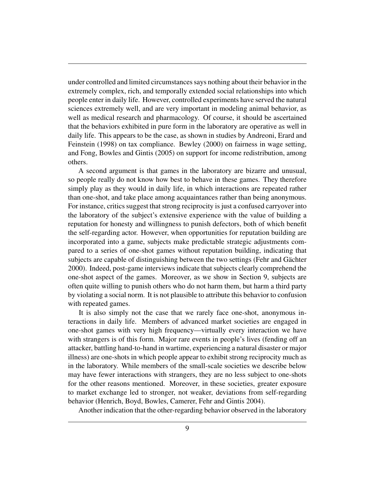under controlled and limited circumstances says nothing about their behavior in the extremely complex, rich, and temporally extended social relationships into which people enter in daily life. However, controlled experiments have served the natural sciences extremely well, and are very important in modeling animal behavior, as well as medical research and pharmacology. Of course, it should be ascertained that the behaviors exhibited in pure form in the laboratory are operative as well in daily life. This appears to be the case, as shown in studies by Andreoni, Erard and Feinstein (1998) on tax compliance. Bewley (2000) on fairness in wage setting, and Fong, Bowles and Gintis (2005) on support for income redistribution, among others.

A second argument is that games in the laboratory are bizarre and unusual, so people really do not know how best to behave in these games. They therefore simply play as they would in daily life, in which interactions are repeated rather than one-shot, and take place among acquaintances rather than being anonymous. For instance, critics suggest that strong reciprocity is just a confused carryover into the laboratory of the subject's extensive experience with the value of building a reputation for honesty and willingness to punish defectors, both of which benefit the self-regarding actor. However, when opportunities for reputation building are incorporated into a game, subjects make predictable strategic adjustments compared to a series of one-shot games without reputation building, indicating that subjects are capable of distinguishing between the two settings (Fehr and Gächter 2000). Indeed, post-game interviews indicate that subjects clearly comprehend the one-shot aspect of the games. Moreover, as we show in Section 9, subjects are often quite willing to punish others who do not harm them, but harm a third party by violating a social norm. It is not plausible to attribute this behavior to confusion with repeated games.

It is also simply not the case that we rarely face one-shot, anonymous interactions in daily life. Members of advanced market societies are engaged in one-shot games with very high frequency—virtually every interaction we have with strangers is of this form. Major rare events in people's lives (fending off an attacker, battling hand-to-hand in wartime, experiencing a natural disaster or major illness) are one-shots in which people appear to exhibit strong reciprocity much as in the laboratory. While members of the small-scale societies we describe below may have fewer interactions with strangers, they are no less subject to one-shots for the other reasons mentioned. Moreover, in these societies, greater exposure to market exchange led to stronger, not weaker, deviations from self-regarding behavior (Henrich, Boyd, Bowles, Camerer, Fehr and Gintis 2004).

Another indication that the other-regarding behavior observed in the laboratory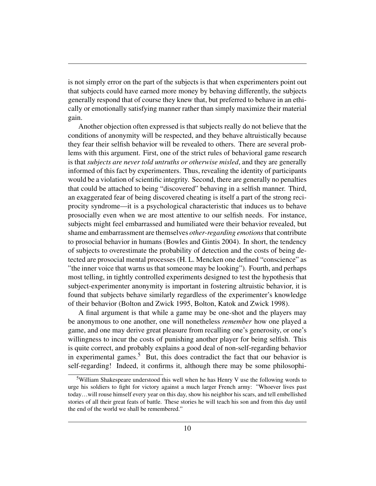is not simply error on the part of the subjects is that when experimenters point out that subjects could have earned more money by behaving differently, the subjects generally respond that of course they knew that, but preferred to behave in an ethically or emotionally satisfying manner rather than simply maximize their material gain.

Another objection often expressed is that subjects really do not believe that the conditions of anonymity will be respected, and they behave altruistically because they fear their selfish behavior will be revealed to others. There are several problems with this argument. First, one of the strict rules of behavioral game research is that *subjects are never told untruths or otherwise misled*, and they are generally informed of this fact by experimenters. Thus, revealing the identity of participants would be a violation of scientific integrity. Second, there are generally no penalties that could be attached to being "discovered" behaving in a selfish manner. Third, an exaggerated fear of being discovered cheating is itself a part of the strong reciprocity syndrome—it is a psychological characteristic that induces us to behave prosocially even when we are most attentive to our selfish needs. For instance, subjects might feel embarrassed and humiliated were their behavior revealed, but shame and embarrassment are themselves *other-regarding emotions*that contribute to prosocial behavior in humans (Bowles and Gintis 2004). In short, the tendency of subjects to overestimate the probability of detection and the costs of being detected are prosocial mental processes (H. L. Mencken one defined "conscience" as "the inner voice that warns us that someone may be looking"). Fourth, and perhaps most telling, in tightly controlled experiments designed to test the hypothesis that subject-experimenter anonymity is important in fostering altruistic behavior, it is found that subjects behave similarly regardless of the experimenter's knowledge of their behavior (Bolton and Zwick 1995, Bolton, Katok and Zwick 1998).

A final argument is that while a game may be one-shot and the players may be anonymous to one another, one will nonetheless *remember* how one played a game, and one may derive great pleasure from recalling one's generosity, or one's willingness to incur the costs of punishing another player for being selfish. This is quite correct, and probably explains a good deal of non-self-regarding behavior in experimental games.<sup>5</sup> But, this does contradict the fact that our behavior is self-regarding! Indeed, it confirms it, although there may be some philosophi-

<sup>&</sup>lt;sup>5</sup>William Shakespeare understood this well when he has Henry V use the following words to urge his soldiers to fight for victory against a much larger French army: "Whoever lives past today…will rouse himself every year on this day, show his neighbor his scars, and tell embellished stories of all their great feats of battle. These stories he will teach his son and from this day until the end of the world we shall be remembered."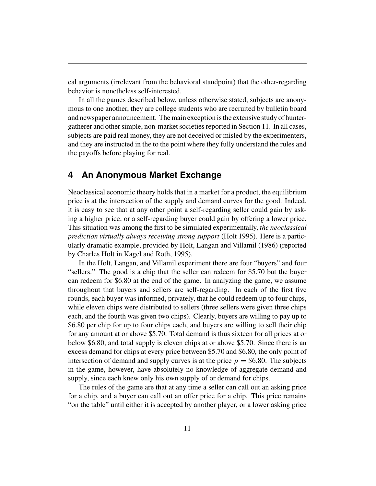cal arguments (irrelevant from the behavioral standpoint) that the other-regarding behavior is nonetheless self-interested.

In all the games described below, unless otherwise stated, subjects are anonymous to one another, they are college students who are recruited by bulletin board and newspaper announcement. The main exception is the extensive study of huntergatherer and other simple, non-market societies reported in Section 11. In all cases, subjects are paid real money, they are not deceived or misled by the experimenters, and they are instructed in the to the point where they fully understand the rules and the payoffs before playing for real.

#### **4 An Anonymous Market Exchange**

Neoclassical economic theory holds that in a market for a product, the equilibrium price is at the intersection of the supply and demand curves for the good. Indeed, it is easy to see that at any other point a self-regarding seller could gain by asking a higher price, or a self-regarding buyer could gain by offering a lower price. This situation was among the first to be simulated experimentally, *the neoclassical prediction virtually always receiving strong support* (Holt 1995). Here is a particularly dramatic example, provided by Holt, Langan and Villamil (1986) (reported by Charles Holt in Kagel and Roth, 1995).

In the Holt, Langan, and Villamil experiment there are four "buyers" and four "sellers." The good is a chip that the seller can redeem for \$5.70 but the buyer can redeem for \$6.80 at the end of the game. In analyzing the game, we assume throughout that buyers and sellers are self-regarding. In each of the first five rounds, each buyer was informed, privately, that he could redeem up to four chips, while eleven chips were distributed to sellers (three sellers were given three chips each, and the fourth was given two chips). Clearly, buyers are willing to pay up to \$6.80 per chip for up to four chips each, and buyers are willing to sell their chip for any amount at or above \$5.70. Total demand is thus sixteen for all prices at or below \$6.80, and total supply is eleven chips at or above \$5.70. Since there is an excess demand for chips at every price between \$5.70 and \$6.80, the only point of intersection of demand and supply curves is at the price  $p = $6.80$ . The subjects in the game, however, have absolutely no knowledge of aggregate demand and supply, since each knew only his own supply of or demand for chips.

The rules of the game are that at any time a seller can call out an asking price for a chip, and a buyer can call out an offer price for a chip. This price remains "on the table" until either it is accepted by another player, or a lower asking price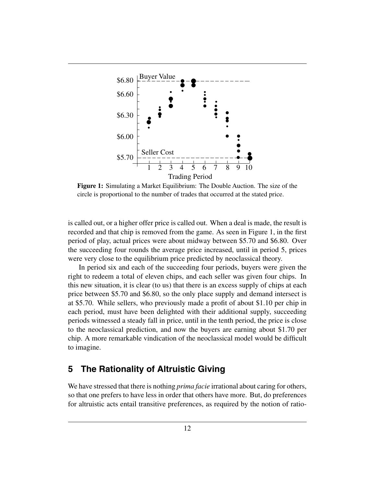

**Figure 1:** Simulating a Market Equilibrium: The Double Auction. The size of the circle is proportional to the number of trades that occurred at the stated price.

is called out, or a higher offer price is called out. When a deal is made, the result is recorded and that chip is removed from the game. As seen in Figure 1, in the first period of play, actual prices were about midway between \$5.70 and \$6.80. Over the succeeding four rounds the average price increased, until in period 5, prices were very close to the equilibrium price predicted by neoclassical theory.

In period six and each of the succeeding four periods, buyers were given the right to redeem a total of eleven chips, and each seller was given four chips. In this new situation, it is clear (to us) that there is an excess supply of chips at each price between \$5.70 and \$6.80, so the only place supply and demand intersect is at \$5.70. While sellers, who previously made a profit of about \$1.10 per chip in each period, must have been delighted with their additional supply, succeeding periods witnessed a steady fall in price, until in the tenth period, the price is close to the neoclassical prediction, and now the buyers are earning about \$1.70 per chip. A more remarkable vindication of the neoclassical model would be difficult to imagine.

# **5 The Rationality of Altruistic Giving**

We have stressed that there is nothing *prima facie* irrational about caring for others, so that one prefers to have less in order that others have more. But, do preferences for altruistic acts entail transitive preferences, as required by the notion of ratio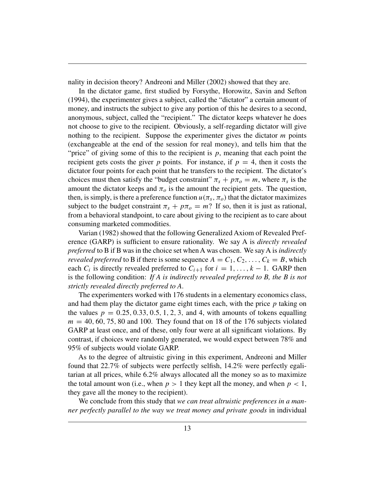nality in decision theory? Andreoni and Miller (2002) showed that they are.

In the dictator game, first studied by Forsythe, Horowitz, Savin and Sefton (1994), the experimenter gives a subject, called the "dictator" a certain amount of money, and instructs the subject to give any portion of this he desires to a second, anonymous, subject, called the "recipient." The dictator keeps whatever he does not choose to give to the recipient. Obviously, a self-regarding dictator will give nothing to the recipient. Suppose the experimenter gives the dictator  $m$  points (exchangeable at the end of the session for real money), and tells him that the "price" of giving some of this to the recipient is  $p$ , meaning that each point the recipient gets costs the giver p points. For instance, if  $p = 4$ , then it costs the dictator four points for each point that he transfers to the recipient. The dictator's choices must then satisfy the "budget constraint"  $\pi_s + p\pi_o = m$ , where  $\pi_s$  is the amount the dictator keeps and  $\pi_o$  is the amount the recipient gets. The question, then, is simply, is there a preference function  $u(\pi_s, \pi_o)$  that the dictator maximizes subject to the budget constraint  $\pi_s + p\pi_o = m$ ? If so, then it is just as rational, from a behavioral standpoint, to care about giving to the recipient as to care about consuming marketed commodities.

Varian (1982) showed that the following Generalized Axiom of Revealed Preference (GARP) is sufficient to ensure rationality. We say A is *directly revealed preferred* to B if B was in the choice set when A was chosen. We say A is*indirectly revealed preferred* to B if there is some sequence  $A = C_1, C_2, \ldots, C_k = B$ , which each  $C_i$  is directly revealed preferred to  $C_{i+1}$  for  $i = 1, \ldots, k - 1$ . GARP then is the following condition: *If A is indirectly revealed preferred to B, the B is not strictly revealed directly preferred to A*.

The experimenters worked with 176 students in a elementary economics class, and had them play the dictator game eight times each, with the price  $p$  taking on the values  $p = 0.25, 0.33, 0.5, 1, 2, 3$ , and 4, with amounts of tokens equalling  $m = 40, 60, 75, 80$  and 100. They found that on 18 of the 176 subjects violated GARP at least once, and of these, only four were at all significant violations. By contrast, if choices were randomly generated, we would expect between 78% and 95% of subjects would violate GARP.

As to the degree of altruistic giving in this experiment, Andreoni and Miller found that 22.7% of subjects were perfectly selfish, 14.2% were perfectly egalitarian at all prices, while 6.2% always allocated all the money so as to maximize the total amount won (i.e., when  $p > 1$  they kept all the money, and when  $p < 1$ , they gave all the money to the recipient).

We conclude from this study that *we can treat altruistic preferences in a manner perfectly parallel to the way we treat money and private goods* in individual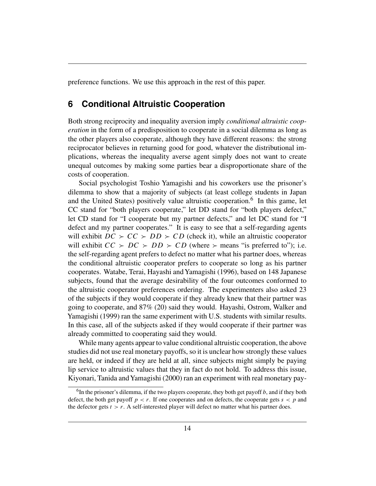preference functions. We use this approach in the rest of this paper.

## **6 Conditional Altruistic Cooperation**

Both strong reciprocity and inequality aversion imply *conditional altruistic cooperation* in the form of a predisposition to cooperate in a social dilemma as long as the other players also cooperate, although they have different reasons: the strong reciprocator believes in returning good for good, whatever the distributional implications, whereas the inequality averse agent simply does not want to create unequal outcomes by making some parties bear a disproportionate share of the costs of cooperation.

Social psychologist Toshio Yamagishi and his coworkers use the prisoner's dilemma to show that a majority of subjects (at least college students in Japan and the United States) positively value altruistic cooperation.<sup>6</sup> In this game, let CC stand for "both players cooperate," let DD stand for "both players defect," let CD stand for "I cooperate but my partner defects," and let DC stand for "I defect and my partner cooperates." It is easy to see that a self-regarding agents will exhibit  $DC > CC > DD > CD$  (check it), while an altruistic cooperator will exhibit  $CC > DC > DD > CD$  (where  $>$  means "is preferred to"); i.e. the self-regarding agent prefers to defect no matter what his partner does, whereas the conditional altruistic cooperator prefers to cooperate so long as his partner cooperates. Watabe, Terai, Hayashi and Yamagishi (1996), based on 148 Japanese subjects, found that the average desirability of the four outcomes conformed to the altruistic cooperator preferences ordering. The experimenters also asked 23 of the subjects if they would cooperate if they already knew that their partner was going to cooperate, and 87% (20) said they would. Hayashi, Ostrom, Walker and Yamagishi (1999) ran the same experiment with U.S. students with similar results. In this case, all of the subjects asked if they would cooperate if their partner was already committed to cooperating said they would.

While many agents appear to value conditional altruistic cooperation, the above studies did not use real monetary payoffs, so it is unclear how strongly these values are held, or indeed if they are held at all, since subjects might simply be paying lip service to altruistic values that they in fact do not hold. To address this issue, Kiyonari, Tanida and Yamagishi (2000) ran an experiment with real monetary pay-

 ${}^{6}$ In the prisoner's dilemma, if the two players cooperate, they both get payoff b, and if they both defect, the both get payoff  $p < r$ . If one cooperates and on defects, the cooperate gets  $s < p$  and the defector gets  $t>r$ . A self-interested player will defect no matter what his partner does.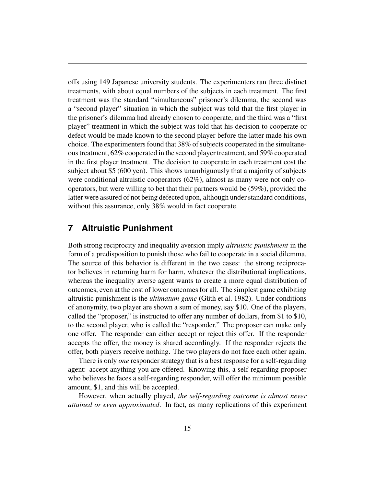offs using 149 Japanese university students. The experimenters ran three distinct treatments, with about equal numbers of the subjects in each treatment. The first treatment was the standard "simultaneous" prisoner's dilemma, the second was a "second player" situation in which the subject was told that the first player in the prisoner's dilemma had already chosen to cooperate, and the third was a "first player" treatment in which the subject was told that his decision to cooperate or defect would be made known to the second player before the latter made his own choice. The experimenters found that 38% of subjects cooperated in the simultaneous treatment, 62% cooperated in the second player treatment, and 59% cooperated in the first player treatment. The decision to cooperate in each treatment cost the subject about \$5 (600 yen). This shows unambiguously that a majority of subjects were conditional altruistic cooperators  $(62\%)$ , almost as many were not only cooperators, but were willing to bet that their partners would be (59%), provided the latter were assured of not being defected upon, although under standard conditions, without this assurance, only 38% would in fact cooperate.

## **7 Altruistic Punishment**

Both strong reciprocity and inequality aversion imply *altruistic punishment* in the form of a predisposition to punish those who fail to cooperate in a social dilemma. The source of this behavior is different in the two cases: the strong reciprocator believes in returning harm for harm, whatever the distributional implications, whereas the inequality averse agent wants to create a more equal distribution of outcomes, even at the cost of lower outcomes for all. The simplest game exhibiting altruistic punishment is the *ultimatum game* (Güth et al. 1982). Under conditions of anonymity, two player are shown a sum of money, say \$10. One of the players, called the "proposer," is instructed to offer any number of dollars, from \$1 to \$10, to the second player, who is called the "responder." The proposer can make only one offer. The responder can either accept or reject this offer. If the responder accepts the offer, the money is shared accordingly. If the responder rejects the offer, both players receive nothing. The two players do not face each other again.

There is only *one* responder strategy that is a best response for a self-regarding agent: accept anything you are offered. Knowing this, a self-regarding proposer who believes he faces a self-regarding responder, will offer the minimum possible amount, \$1, and this will be accepted.

However, when actually played, *the self-regarding outcome is almost never attained or even approximated*. In fact, as many replications of this experiment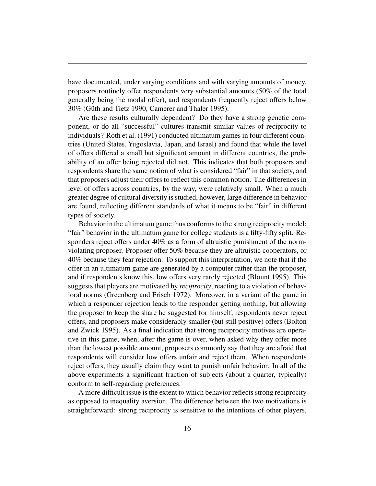have documented, under varying conditions and with varying amounts of money, proposers routinely offer respondents very substantial amounts (50% of the total generally being the modal offer), and respondents frequently reject offers below 30% (Güth and Tietz 1990, Camerer and Thaler 1995).

Are these results culturally dependent? Do they have a strong genetic component, or do all "successful" cultures transmit similar values of reciprocity to individuals? Roth et al. (1991) conducted ultimatum games in four different countries (United States, Yugoslavia, Japan, and Israel) and found that while the level of offers differed a small but significant amount in different countries, the probability of an offer being rejected did not. This indicates that both proposers and respondents share the same notion of what is considered "fair" in that society, and that proposers adjust their offers to reflect this common notion. The differences in level of offers across countries, by the way, were relatively small. When a much greater degree of cultural diversity is studied, however, large difference in behavior are found, reflecting different standards of what it means to be "fair" in different types of society.

Behavior in the ultimatum game thus conforms to the strong reciprocity model: "fair" behavior in the ultimatum game for college students is a fifty-fifty split. Responders reject offers under 40% as a form of altruistic punishment of the normviolating proposer. Proposer offer 50% because they are altruistic cooperators, or 40% because they fear rejection. To support this interpretation, we note that if the offer in an ultimatum game are generated by a computer rather than the proposer, and if respondents know this, low offers very rarely rejected (Blount 1995). This suggests that players are motivated by *reciprocity*, reacting to a violation of behavioral norms (Greenberg and Frisch 1972). Moreover, in a variant of the game in which a responder rejection leads to the responder getting nothing, but allowing the proposer to keep the share he suggested for himself, respondents never reject offers, and proposers make considerably smaller (but still positive) offers (Bolton and Zwick 1995). As a final indication that strong reciprocity motives are operative in this game, when, after the game is over, when asked why they offer more than the lowest possible amount, proposers commonly say that they are afraid that respondents will consider low offers unfair and reject them. When respondents reject offers, they usually claim they want to punish unfair behavior. In all of the above experiments a significant fraction of subjects (about a quarter, typically) conform to self-regarding preferences.

A more difficult issue is the extent to which behavior reflects strong reciprocity as opposed to inequality aversion. The difference between the two motivations is straightforward: strong reciprocity is sensitive to the intentions of other players,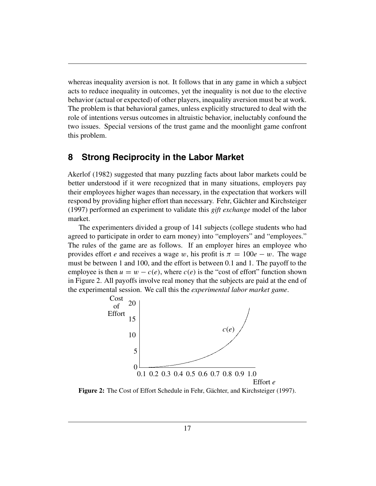whereas inequality aversion is not. It follows that in any game in which a subject acts to reduce inequality in outcomes, yet the inequality is not due to the elective behavior (actual or expected) of other players, inequality aversion must be at work. The problem is that behavioral games, unless explicitly structured to deal with the role of intentions versus outcomes in altruistic behavior, ineluctably confound the two issues. Special versions of the trust game and the moonlight game confront this problem.

## **8 Strong Reciprocity in the Labor Market**

Akerlof (1982) suggested that many puzzling facts about labor markets could be better understood if it were recognized that in many situations, employers pay their employees higher wages than necessary, in the expectation that workers will respond by providing higher effort than necessary. Fehr, Gächter and Kirchsteiger (1997) performed an experiment to validate this *gift exchange* model of the labor market.

The experimenters divided a group of 141 subjects (college students who had agreed to participate in order to earn money) into "employers" and "employees." The rules of the game are as follows. If an employer hires an employee who provides effort e and receives a wage w, his profit is  $\pi = 100e - w$ . The wage must be between 1 and 100, and the effort is between 0.1 and 1. The payoff to the employee is then  $u = w - c(e)$ , where  $c(e)$  is the "cost of effort" function shown in Figure 2. All payoffs involve real money that the subjects are paid at the end of the experimental session. We call this the *experimental labor market game*.



**Figure 2:** The Cost of Effort Schedule in Fehr, Gächter, and Kirchsteiger (1997).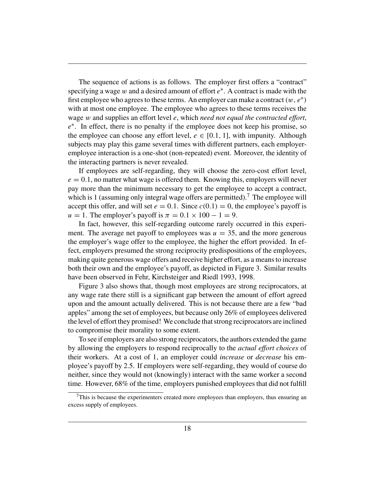The sequence of actions is as follows. The employer first offers a "contract" specifying a wage w and a desired amount of effort  $e^*$ . A contract is made with the first employee who agrees to these terms. An employer can make a contract  $(w, e^*)$ with at most one employee. The employee who agrees to these terms receives the wage w and supplies an effort level e, which *need not equal the contracted effort*,  $e<sup>*</sup>$ . In effect, there is no penalty if the employee does not keep his promise, so the employee can choose any effort level,  $e \in [0.1, 1]$ , with impunity. Although subjects may play this game several times with different partners, each employeremployee interaction is a one-shot (non-repeated) event. Moreover, the identity of the interacting partners is never revealed.

If employees are self-regarding, they will choose the zero-cost effort level,  $e = 0.1$ , no matter what wage is offered them. Knowing this, employers will never pay more than the minimum necessary to get the employee to accept a contract, which is 1 (assuming only integral wage offers are permitted).<sup>7</sup> The employee will accept this offer, and will set  $e = 0.1$ . Since  $c(0.1) = 0$ , the employee's payoff is  $u = 1$ . The employer's payoff is  $\pi = 0.1 \times 100 - 1 = 9$ .

In fact, however, this self-regarding outcome rarely occurred in this experiment. The average net payoff to employees was  $u = 35$ , and the more generous the employer's wage offer to the employee, the higher the effort provided. In effect, employers presumed the strong reciprocity predispositions of the employees, making quite generous wage offers and receive higher effort, as a means to increase both their own and the employee's payoff, as depicted in Figure 3. Similar results have been observed in Fehr, Kirchsteiger and Riedl 1993, 1998.

Figure 3 also shows that, though most employees are strong reciprocators, at any wage rate there still is a significant gap between the amount of effort agreed upon and the amount actually delivered. This is not because there are a few "bad apples" among the set of employees, but because only 26% of employees delivered the level of effort they promised! We conclude that strong reciprocators are inclined to compromise their morality to some extent.

To see if employers are also strong reciprocators, the authors extended the game by allowing the employers to respond reciprocally to the *actual effort choices* of their workers. At a cost of 1, an employer could *increase* or *decrease* his employee's payoff by 2.5. If employers were self-regarding, they would of course do neither, since they would not (knowingly) interact with the same worker a second time. However, 68% of the time, employers punished employees that did not fulfill

 $T$ This is because the experimenters created more employees than employers, thus ensuring an excess supply of employees.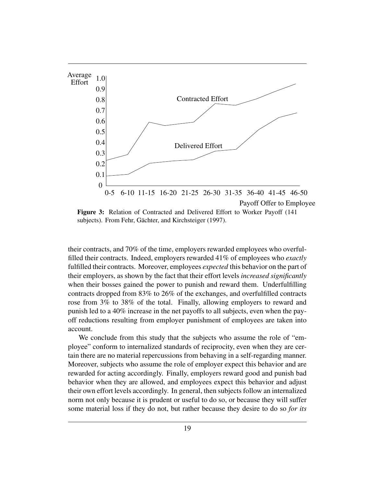

**Figure 3:** Relation of Contracted and Delivered Effort to Worker Payoff (141 subjects). From Fehr, Gächter, and Kirchsteiger (1997).

their contracts, and 70% of the time, employers rewarded employees who overfulfilled their contracts. Indeed, employers rewarded 41% of employees who *exactly* fulfilled their contracts. Moreover, employees *expected* this behavior on the part of their employers, as shown by the fact that their effort levels *increased significantly* when their bosses gained the power to punish and reward them. Underfulfilling contracts dropped from 83% to 26% of the exchanges, and overfulfilled contracts rose from 3% to 38% of the total. Finally, allowing employers to reward and punish led to a 40% increase in the net payoffs to all subjects, even when the payoff reductions resulting from employer punishment of employees are taken into account.

We conclude from this study that the subjects who assume the role of "employee" conform to internalized standards of reciprocity, even when they are certain there are no material repercussions from behaving in a self-regarding manner. Moreover, subjects who assume the role of employer expect this behavior and are rewarded for acting accordingly. Finally, employers reward good and punish bad behavior when they are allowed, and employees expect this behavior and adjust their own effort levels accordingly. In general, then subjects follow an internalized norm not only because it is prudent or useful to do so, or because they will suffer some material loss if they do not, but rather because they desire to do so *for its*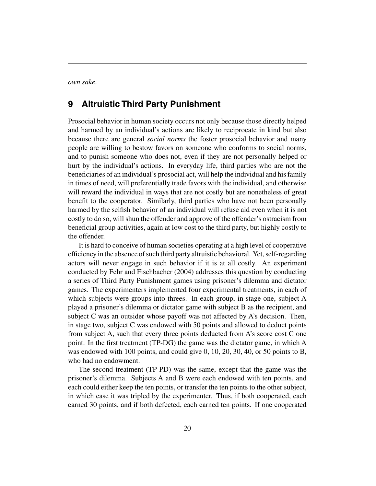*own sake*.

# **9 Altruistic Third Party Punishment**

Prosocial behavior in human society occurs not only because those directly helped and harmed by an individual's actions are likely to reciprocate in kind but also because there are general *social norms* the foster prosocial behavior and many people are willing to bestow favors on someone who conforms to social norms, and to punish someone who does not, even if they are not personally helped or hurt by the individual's actions. In everyday life, third parties who are not the beneficiaries of an individual's prosocial act, will help the individual and his family in times of need, will preferentially trade favors with the individual, and otherwise will reward the individual in ways that are not costly but are nonetheless of great benefit to the cooperator. Similarly, third parties who have not been personally harmed by the selfish behavior of an individual will refuse aid even when it is not costly to do so, will shun the offender and approve of the offender's ostracism from beneficial group activities, again at low cost to the third party, but highly costly to the offender.

It is hard to conceive of human societies operating at a high level of cooperative efficiency in the absence of such third party altruistic behavioral. Yet, self-regarding actors will never engage in such behavior if it is at all costly. An experiment conducted by Fehr and Fischbacher (2004) addresses this question by conducting a series of Third Party Punishment games using prisoner's dilemma and dictator games. The experimenters implemented four experimental treatments, in each of which subjects were groups into threes. In each group, in stage one, subject A played a prisoner's dilemma or dictator game with subject B as the recipient, and subject C was an outsider whose payoff was not affected by A's decision. Then, in stage two, subject C was endowed with 50 points and allowed to deduct points from subject A, such that every three points deducted from A's score cost C one point. In the first treatment (TP-DG) the game was the dictator game, in which A was endowed with 100 points, and could give 0, 10, 20, 30, 40, or 50 points to B, who had no endowment.

The second treatment (TP-PD) was the same, except that the game was the prisoner's dilemma. Subjects A and B were each endowed with ten points, and each could either keep the ten points, or transfer the ten points to the other subject, in which case it was tripled by the experimenter. Thus, if both cooperated, each earned 30 points, and if both defected, each earned ten points. If one cooperated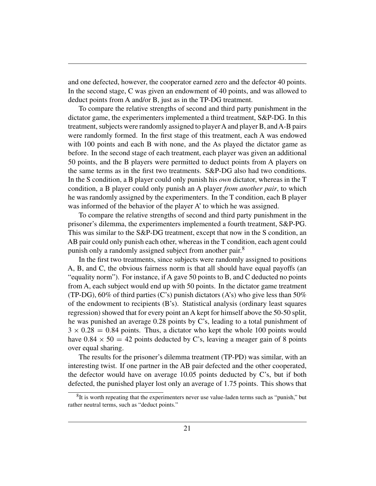and one defected, however, the cooperator earned zero and the defector 40 points. In the second stage, C was given an endowment of 40 points, and was allowed to deduct points from A and/or B, just as in the TP-DG treatment.

To compare the relative strengths of second and third party punishment in the dictator game, the experimenters implemented a third treatment, S&P-DG. In this treatment, subjects were randomly assigned to playerA and player B, andA-B pairs were randomly formed. In the first stage of this treatment, each A was endowed with 100 points and each B with none, and the As played the dictator game as before. In the second stage of each treatment, each player was given an additional 50 points, and the B players were permitted to deduct points from A players on the same terms as in the first two treatments. S&P-DG also had two conditions. In the S condition, a B player could only punish his *own* dictator, whereas in the T condition, a B player could only punish an A player *from another pair*, to which he was randomly assigned by the experimenters. In the T condition, each B player was informed of the behavior of the player A' to which he was assigned.

To compare the relative strengths of second and third party punishment in the prisoner's dilemma, the experimenters implemented a fourth treatment, S&P-PG. This was similar to the S&P-DG treatment, except that now in the S condition, an AB pair could only punish each other, whereas in the T condition, each agent could punish only a randomly assigned subject from another pair.<sup>8</sup>

In the first two treatments, since subjects were randomly assigned to positions A, B, and C, the obvious fairness norm is that all should have equal payoffs (an "equality norm"). For instance, if A gave 50 points to B, and C deducted no points from A, each subject would end up with 50 points. In the dictator game treatment (TP-DG), 60% of third parties (C's) punish dictators (A's) who give less than 50% of the endowment to recipients (B's). Statistical analysis (ordinary least squares regression) showed that for every point an A kept for himself above the 50-50 split, he was punished an average 0.28 points by C's, leading to a total punishment of  $3 \times 0.28 = 0.84$  points. Thus, a dictator who kept the whole 100 points would have  $0.84 \times 50 = 42$  points deducted by C's, leaving a meager gain of 8 points over equal sharing.

The results for the prisoner's dilemma treatment (TP-PD) was similar, with an interesting twist. If one partner in the AB pair defected and the other cooperated, the defector would have on average 10.05 points deducted by C's, but if both defected, the punished player lost only an average of 1.75 points. This shows that

 ${}^{8}$ It is worth repeating that the experimenters never use value-laden terms such as "punish," but rather neutral terms, such as "deduct points."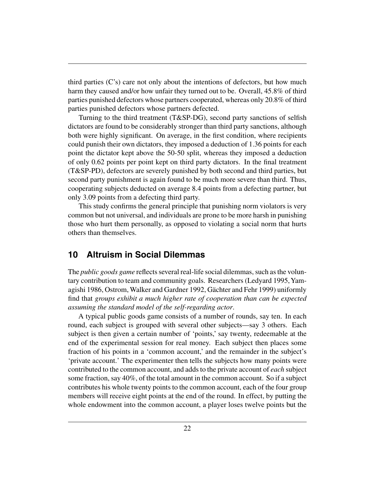third parties (C's) care not only about the intentions of defectors, but how much harm they caused and/or how unfair they turned out to be. Overall, 45.8% of third parties punished defectors whose partners cooperated, whereas only 20.8% of third parties punished defectors whose partners defected.

Turning to the third treatment (T&SP-DG), second party sanctions of selfish dictators are found to be considerably stronger than third party sanctions, although both were highly significant. On average, in the first condition, where recipients could punish their own dictators, they imposed a deduction of 1.36 points for each point the dictator kept above the 50-50 split, whereas they imposed a deduction of only 0.62 points per point kept on third party dictators. In the final treatment (T&SP-PD), defectors are severely punished by both second and third parties, but second party punishment is again found to be much more severe than third. Thus, cooperating subjects deducted on average 8.4 points from a defecting partner, but only 3.09 points from a defecting third party.

This study confirms the general principle that punishing norm violators is very common but not universal, and individuals are prone to be more harsh in punishing those who hurt them personally, as opposed to violating a social norm that hurts others than themselves.

#### **10 Altruism in Social Dilemmas**

The *public goods game* reflects several real-life social dilemmas, such as the voluntary contribution to team and community goals. Researchers (Ledyard 1995,Yamagishi 1986, Ostrom, Walker and Gardner 1992, Gächter and Fehr 1999) uniformly find that *groups exhibit a much higher rate of cooperation than can be expected assuming the standard model of the self-regarding actor*.

A typical public goods game consists of a number of rounds, say ten. In each round, each subject is grouped with several other subjects—say 3 others. Each subject is then given a certain number of 'points,' say twenty, redeemable at the end of the experimental session for real money. Each subject then places some fraction of his points in a 'common account,' and the remainder in the subject's 'private account.' The experimenter then tells the subjects how many points were contributed to the common account, and adds to the private account of *each* subject some fraction, say 40%, of the total amount in the common account. So if a subject contributes his whole twenty points to the common account, each of the four group members will receive eight points at the end of the round. In effect, by putting the whole endowment into the common account, a player loses twelve points but the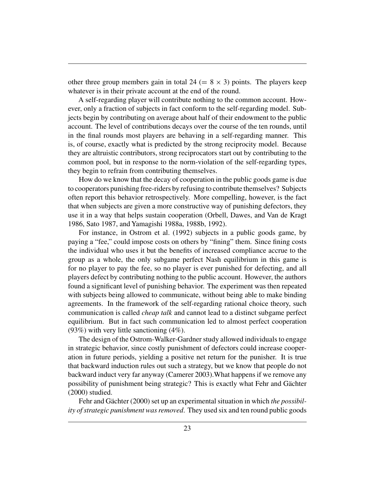other three group members gain in total 24 ( $= 8 \times 3$ ) points. The players keep whatever is in their private account at the end of the round.

A self-regarding player will contribute nothing to the common account. However, only a fraction of subjects in fact conform to the self-regarding model. Subjects begin by contributing on average about half of their endowment to the public account. The level of contributions decays over the course of the ten rounds, until in the final rounds most players are behaving in a self-regarding manner. This is, of course, exactly what is predicted by the strong reciprocity model. Because they are altruistic contributors, strong reciprocators start out by contributing to the common pool, but in response to the norm-violation of the self-regarding types, they begin to refrain from contributing themselves.

How do we know that the decay of cooperation in the public goods game is due to cooperators punishing free-riders by refusing to contribute themselves? Subjects often report this behavior retrospectively. More compelling, however, is the fact that when subjects are given a more constructive way of punishing defectors, they use it in a way that helps sustain cooperation (Orbell, Dawes, and Van de Kragt 1986, Sato 1987, and Yamagishi 1988a, 1988b, 1992).

For instance, in Ostrom et al. (1992) subjects in a public goods game, by paying a "fee," could impose costs on others by "fining" them. Since fining costs the individual who uses it but the benefits of increased compliance accrue to the group as a whole, the only subgame perfect Nash equilibrium in this game is for no player to pay the fee, so no player is ever punished for defecting, and all players defect by contributing nothing to the public account. However, the authors found a significant level of punishing behavior. The experiment was then repeated with subjects being allowed to communicate, without being able to make binding agreements. In the framework of the self-regarding rational choice theory, such communication is called *cheap talk* and cannot lead to a distinct subgame perfect equilibrium. But in fact such communication led to almost perfect cooperation (93%) with very little sanctioning (4%).

The design of the Ostrom-Walker-Gardner study allowed individuals to engage in strategic behavior, since costly punishment of defectors could increase cooperation in future periods, yielding a positive net return for the punisher. It is true that backward induction rules out such a strategy, but we know that people do not backward induct very far anyway (Camerer 2003).What happens if we remove any possibility of punishment being strategic? This is exactly what Fehr and Gächter (2000) studied.

Fehr and Gächter (2000) set up an experimental situation in which *the possibility of strategic punishment was removed*. They used six and ten round public goods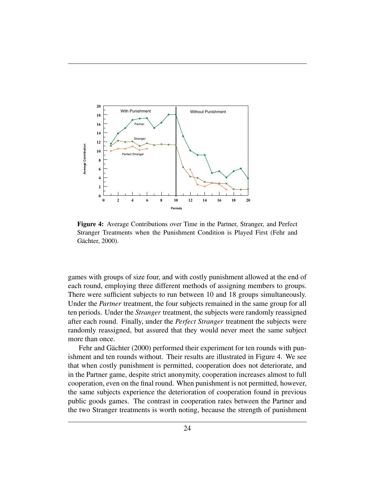

**Figure 4:** Average Contributions over Time in the Partner, Stranger, and Perfect Stranger Treatments when the Punishment Condition is Played First (Fehr and Gächter, 2000).

games with groups of size four, and with costly punishment allowed at the end of each round, employing three different methods of assigning members to groups. There were sufficient subjects to run between 10 and 18 groups simultaneously. Under the *Partner* treatment, the four subjects remained in the same group for all ten periods. Under the *Stranger* treatment, the subjects were randomly reassigned after each round. Finally, under the *Perfect Stranger* treatment the subjects were randomly reassigned, but assured that they would never meet the same subject more than once.

Fehr and Gächter (2000) performed their experiment for ten rounds with punishment and ten rounds without. Their results are illustrated in Figure 4. We see that when costly punishment is permitted, cooperation does not deteriorate, and in the Partner game, despite strict anonymity, cooperation increases almost to full cooperation, even on the final round. When punishment is not permitted, however, the same subjects experience the deterioration of cooperation found in previous public goods games. The contrast in cooperation rates between the Partner and the two Stranger treatments is worth noting, because the strength of punishment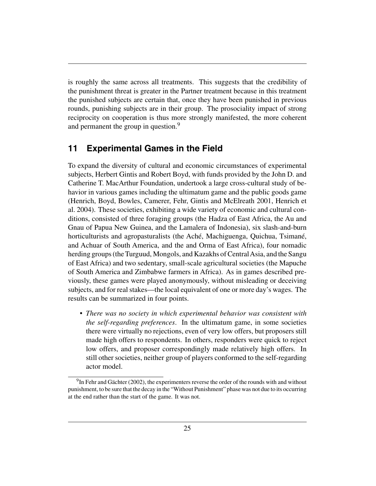is roughly the same across all treatments. This suggests that the credibility of the punishment threat is greater in the Partner treatment because in this treatment the punished subjects are certain that, once they have been punished in previous rounds, punishing subjects are in their group. The prosociality impact of strong reciprocity on cooperation is thus more strongly manifested, the more coherent and permanent the group in question.<sup>9</sup>

# **11 Experimental Games in the Field**

To expand the diversity of cultural and economic circumstances of experimental subjects, Herbert Gintis and Robert Boyd, with funds provided by the John D. and Catherine T. MacArthur Foundation, undertook a large cross-cultural study of behavior in various games including the ultimatum game and the public goods game (Henrich, Boyd, Bowles, Camerer, Fehr, Gintis and McElreath 2001, Henrich et al. 2004). These societies, exhibiting a wide variety of economic and cultural conditions, consisted of three foraging groups (the Hadza of East Africa, the Au and Gnau of Papua New Guinea, and the Lamalera of Indonesia), six slash-and-burn horticulturists and agropasturalists (the Aché, Machiguenga, Quichua, Tsimané, and Achuar of South America, and the and Orma of East Africa), four nomadic herding groups (the Turguud, Mongols, and Kazakhs of Central Asia, and the Sangu of East Africa) and two sedentary, small-scale agricultural societies (the Mapuche of South America and Zimbabwe farmers in Africa). As in games described previously, these games were played anonymously, without misleading or deceiving subjects, and for real stakes—the local equivalent of one or more day's wages. The results can be summarized in four points.

• *There was no society in which experimental behavior was consistent with the self-regarding preferences*. In the ultimatum game, in some societies there were virtually no rejections, even of very low offers, but proposers still made high offers to respondents. In others, responders were quick to reject low offers, and proposer correspondingly made relatively high offers. In still other societies, neither group of players conformed to the self-regarding actor model.

 $9$ In Fehr and Gächter (2002), the experimenters reverse the order of the rounds with and without punishment, to be sure that the decay in the "Without Punishment" phase was not due to its occurring at the end rather than the start of the game. It was not.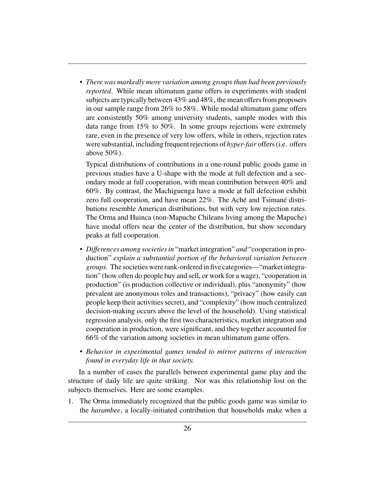• *There was markedly more variation among groups than had been previously reported*. While mean ultimatum game offers in experiments with student subjects are typically between 43% and 48%, the mean offers from proposers in our sample range from 26% to 58%. While modal ultimatum game offers are consistently 50% among university students, sample modes with this data range from 15% to 50%. In some groups rejections were extremely rare, even in the presence of very low offers, while in others, rejection rates were substantial, including frequent rejections of *hyper-fair* offers (i.e. offers above 50%).

Typical distributions of contributions in a one-round public goods game in previous studies have a U-shape with the mode at full defection and a secondary mode at full cooperation, with mean contribution between 40% and 60%. By contrast, the Machiguenga have a mode at full defection exhibit zero full cooperation, and have mean 22%. The Aché and Tsimané distributions resemble American distributions, but with very low rejection rates. The Orma and Huinca (non-Mapuche Chileans living among the Mapuche) have modal offers near the center of the distribution, but show secondary peaks at full cooperation.

- *Differences among societies in* "market integration" *and* "cooperation in production" *explain a substantial portion of the behavioral variation between groups.* The societies were rank-ordered in five categories—"market integration" (how often do people buy and sell, or work for a wage), "cooperation in production" (is production collective or individual), plus "anonymity" (how prevalent are anonymous roles and transactions), "privacy" (how easily can people keep their activities secret), and "complexity" (how much centralized decision-making occurs above the level of the household). Using statistical regression analysis, only the first two characteristics, market integration and cooperation in production, were significant, and they together accounted for 66% of the variation among societies in mean ultimatum game offers.
- *Behavior in experimental games tended to mirror patterns of interaction found in everyday life in that society.*

In a number of cases the parallels between experimental game play and the structure of daily life are quite striking. Nor was this relationship lost on the subjects themselves. Here are some examples.

1. The Orma immediately recognized that the public goods game was similar to the *harambee*, a locally-initiated contribution that households make when a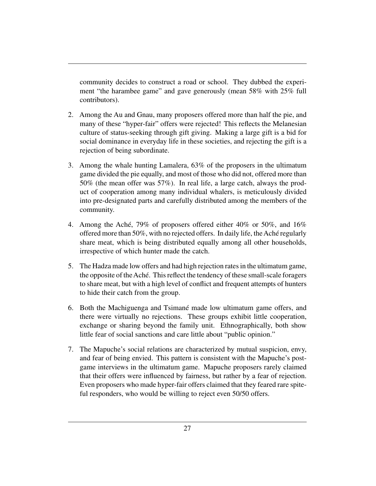community decides to construct a road or school. They dubbed the experiment "the harambee game" and gave generously (mean 58% with 25% full contributors).

- 2. Among the Au and Gnau, many proposers offered more than half the pie, and many of these "hyper-fair" offers were rejected! This reflects the Melanesian culture of status-seeking through gift giving. Making a large gift is a bid for social dominance in everyday life in these societies, and rejecting the gift is a rejection of being subordinate.
- 3. Among the whale hunting Lamalera, 63% of the proposers in the ultimatum game divided the pie equally, and most of those who did not, offered more than 50% (the mean offer was 57%). In real life, a large catch, always the product of cooperation among many individual whalers, is meticulously divided into pre-designated parts and carefully distributed among the members of the community.
- 4. Among the Aché, 79% of proposers offered either 40% or 50%, and 16% offered more than 50%, with no rejected offers. In daily life, theAché regularly share meat, which is being distributed equally among all other households, irrespective of which hunter made the catch.
- 5. The Hadza made low offers and had high rejection rates in the ultimatum game, the opposite of theAché. This reflect the tendency of these small-scale foragers to share meat, but with a high level of conflict and frequent attempts of hunters to hide their catch from the group.
- 6. Both the Machiguenga and Tsimané made low ultimatum game offers, and there were virtually no rejections. These groups exhibit little cooperation, exchange or sharing beyond the family unit. Ethnographically, both show little fear of social sanctions and care little about "public opinion."
- 7. The Mapuche's social relations are characterized by mutual suspicion, envy, and fear of being envied. This pattern is consistent with the Mapuche's postgame interviews in the ultimatum game. Mapuche proposers rarely claimed that their offers were influenced by fairness, but rather by a fear of rejection. Even proposers who made hyper-fair offers claimed that they feared rare spiteful responders, who would be willing to reject even 50/50 offers.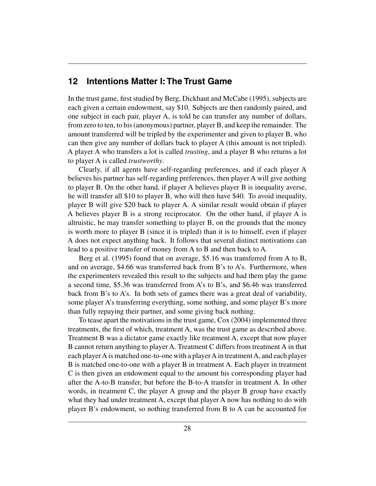#### **12 Intentions Matter I:The Trust Game**

In the trust game, first studied by Berg, Dickhaut and McCabe (1995), subjects are each given a certain endowment, say \$10. Subjects are then randomly paired, and one subject in each pair, player A, is told he can transfer any number of dollars, from zero to ten, to his (anonymous) partner, player B, and keep the remainder. The amount transferred will be tripled by the experimenter and given to player B, who can then give any number of dollars back to player A (this amount is not tripled). A player A who transfers a lot is called *trusting*, and a player B who returns a lot to player A is called *trustworthy*.

Clearly, if all agents have self-regarding preferences, and if each player A believes his partner has self-regarding preferences, then player A will give nothing to player B. On the other hand, if player A believes player B is inequality averse, he will transfer all \$10 to player B, who will then have \$40. To avoid inequality, player B will give \$20 back to player A. A similar result would obtain if player A believes player B is a strong reciprocator. On the other hand, if player A is altruistic, he may transfer something to player B, on the grounds that the money is worth more to player B (since it is tripled) than it is to himself, even if player A does not expect anything back. It follows that several distinct motivations can lead to a positive transfer of money from A to B and then back to A.

Berg et al. (1995) found that on average, \$5.16 was transferred from A to B, and on average, \$4.66 was transferred back from B's to A's. Furthermore, when the experimenters revealed this result to the subjects and had them play the game a second time, \$5.36 was transferred from A's to B's, and \$6.46 was transferred back from B's to A's. In both sets of games there was a great deal of variability, some player A's transferring everything, some nothing, and some player B's more than fully repaying their partner, and some giving back nothing.

To tease apart the motivations in the trust game, Cox (2004) implemented three treatments, the first of which, treatment A, was the trust game as described above. Treatment B was a dictator game exactly like treatment A, except that now player B cannot return anything to player A. Treatment C differs from treatment A in that each player A is matched one-to-one with a player A in treatment A, and each player B is matched one-to-one with a player B in treatment A. Each player in treatment C is then given an endowment equal to the amount his corresponding player had after the A-to-B transfer, but before the B-to-A transfer in treatment A. In other words, in treatment C, the player A group and the player B group have exactly what they had under treatment A, except that player A now has nothing to do with player B's endowment, so nothing transferred from B to A can be accounted for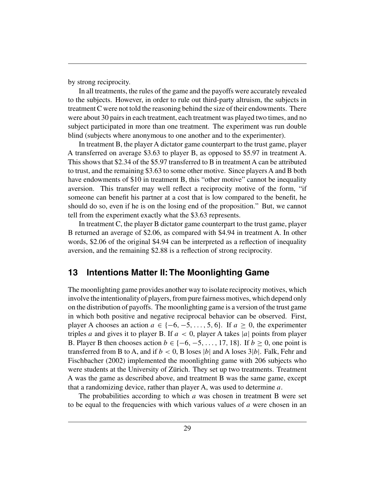by strong reciprocity.

In all treatments, the rules of the game and the payoffs were accurately revealed to the subjects. However, in order to rule out third-party altruism, the subjects in treatment C were not told the reasoning behind the size of their endowments. There were about 30 pairs in each treatment, each treatment was played two times, and no subject participated in more than one treatment. The experiment was run double blind (subjects where anonymous to one another and to the experimenter).

In treatment B, the player A dictator game counterpart to the trust game, player A transferred on average \$3.63 to player B, as opposed to \$5.97 in treatment A. This shows that \$2.34 of the \$5.97 transferred to B in treatment A can be attributed to trust, and the remaining \$3.63 to some other motive. Since players A and B both have endowments of \$10 in treatment B, this "other motive" cannot be inequality aversion. This transfer may well reflect a reciprocity motive of the form, "if someone can benefit his partner at a cost that is low compared to the benefit, he should do so, even if he is on the losing end of the proposition." But, we cannot tell from the experiment exactly what the \$3.63 represents.

In treatment C, the player B dictator game counterpart to the trust game, player B returned an average of \$2.06, as compared with \$4.94 in treatment A. In other words, \$2.06 of the original \$4.94 can be interpreted as a reflection of inequality aversion, and the remaining \$2.88 is a reflection of strong reciprocity.

#### **13 Intentions Matter II:The Moonlighting Game**

The moonlighting game provides another way to isolate reciprocity motives, which involve the intentionality of players, from pure fairness motives, which depend only on the distribution of payoffs. The moonlighting game is a version of the trust game in which both positive and negative reciprocal behavior can be observed. First, player A chooses an action  $a \in \{-6, -5, \ldots, 5, 6\}$ . If  $a \ge 0$ , the experimenter triples a and gives it to player B. If  $a < 0$ , player A takes |a| points from player B. Player B then chooses action  $b \in \{-6, -5, \ldots, 17, 18\}$ . If  $b \ge 0$ , one point is transferred from B to A, and if  $b < 0$ , B loses |b| and A loses 3|b|. Falk, Fehr and Fischbacher (2002) implemented the moonlighting game with 206 subjects who were students at the University of Zürich. They set up two treatments. Treatment A was the game as described above, and treatment B was the same game, except that a randomizing device, rather than player A, was used to determine a.

The probabilities according to which  $a$  was chosen in treatment B were set to be equal to the frequencies with which various values of a were chosen in an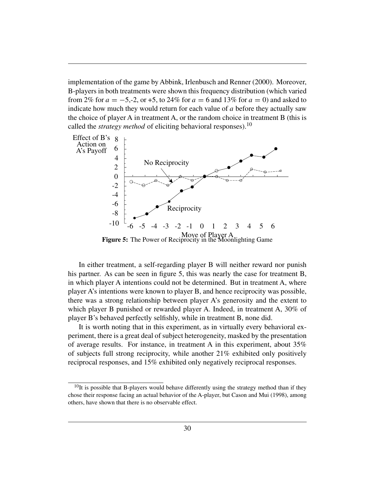implementation of the game by Abbink, Irlenbusch and Renner (2000). Moreover, B-players in both treatments were shown this frequency distribution (which varied from 2% for  $a = -5, -2,$  or +5, to 24% for  $a = 6$  and 13% for  $a = 0$ ) and asked to indicate how much they would return for each value of a before they actually saw the choice of player A in treatment A, or the random choice in treatment B (this is called the *strategy method* of eliciting behavioral responses).<sup>10</sup>



In either treatment, a self-regarding player B will neither reward nor punish his partner. As can be seen in figure 5, this was nearly the case for treatment B, in which player A intentions could not be determined. But in treatment A, where player A's intentions were known to player B, and hence reciprocity was possible, there was a strong relationship between player A's generosity and the extent to which player B punished or rewarded player A. Indeed, in treatment A, 30% of player B's behaved perfectly selfishly, while in treatment B, none did.

It is worth noting that in this experiment, as in virtually every behavioral experiment, there is a great deal of subject heterogeneity, masked by the presentation of average results. For instance, in treatment A in this experiment, about 35% of subjects full strong reciprocity, while another 21% exhibited only positively reciprocal responses, and 15% exhibited only negatively reciprocal responses.

 $10$ It is possible that B-players would behave differently using the strategy method than if they chose their response facing an actual behavior of the A-player, but Cason and Mui (1998), among others, have shown that there is no observable effect.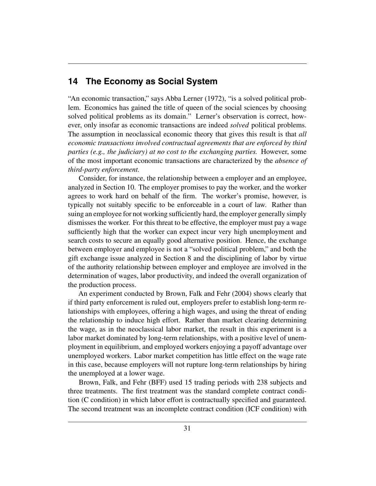# **14 The Economy as Social System**

"An economic transaction," says Abba Lerner (1972), "is a solved political problem. Economics has gained the title of queen of the social sciences by choosing solved political problems as its domain." Lerner's observation is correct, however, only insofar as economic transactions are indeed *solved* political problems. The assumption in neoclassical economic theory that gives this result is that *all economic transactions involved contractual agreements that are enforced by third parties (e.g., the judiciary) at no cost to the exchanging parties.* However, some of the most important economic transactions are characterized by the *absence of third-party enforcement.*

Consider, for instance, the relationship between a employer and an employee, analyzed in Section 10. The employer promises to pay the worker, and the worker agrees to work hard on behalf of the firm. The worker's promise, however, is typically not suitably specific to be enforceable in a court of law. Rather than suing an employee for not working sufficiently hard, the employer generally simply dismisses the worker. For this threat to be effective, the employer must pay a wage sufficiently high that the worker can expect incur very high unemployment and search costs to secure an equally good alternative position. Hence, the exchange between employer and employee is not a "solved political problem," and both the gift exchange issue analyzed in Section 8 and the disciplining of labor by virtue of the authority relationship between employer and employee are involved in the determination of wages, labor productivity, and indeed the overall organization of the production process.

An experiment conducted by Brown, Falk and Fehr (2004) shows clearly that if third party enforcement is ruled out, employers prefer to establish long-term relationships with employees, offering a high wages, and using the threat of ending the relationship to induce high effort. Rather than market clearing determining the wage, as in the neoclassical labor market, the result in this experiment is a labor market dominated by long-term relationships, with a positive level of unemployment in equilibrium, and employed workers enjoying a payoff advantage over unemployed workers. Labor market competition has little effect on the wage rate in this case, because employers will not rupture long-term relationships by hiring the unemployed at a lower wage.

Brown, Falk, and Fehr (BFF) used 15 trading periods with 238 subjects and three treatments. The first treatment was the standard complete contract condition (C condition) in which labor effort is contractually specified and guaranteed. The second treatment was an incomplete contract condition (ICF condition) with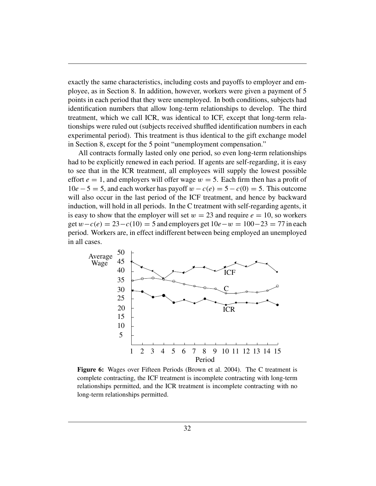exactly the same characteristics, including costs and payoffs to employer and employee, as in Section 8. In addition, however, workers were given a payment of 5 points in each period that they were unemployed. In both conditions, subjects had identification numbers that allow long-term relationships to develop. The third treatment, which we call ICR, was identical to ICF, except that long-term relationships were ruled out (subjects received shuffled identification numbers in each experimental period). This treatment is thus identical to the gift exchange model in Section 8, except for the 5 point "unemployment compensation."

All contracts formally lasted only one period, so even long-term relationships had to be explicitly renewed in each period. If agents are self-regarding, it is easy to see that in the ICR treatment, all employees will supply the lowest possible effort  $e = 1$ , and employers will offer wage  $w = 5$ . Each firm then has a profit of  $10e - 5 = 5$ , and each worker has payoff  $w - c(e) = 5 - c(0) = 5$ . This outcome will also occur in the last period of the ICF treatment, and hence by backward induction, will hold in all periods. In the C treatment with self-regarding agents, it is easy to show that the employer will set  $w = 23$  and require  $e = 10$ , so workers get  $w-c(e) = 23-c(10) = 5$  and employers get  $10e-w = 100-23 = 77$  in each period. Workers are, in effect indifferent between being employed an unemployed in all cases.



**Figure 6:** Wages over Fifteen Periods (Brown et al. 2004). The C treatment is complete contracting, the ICF treatment is incomplete contracting with long-term relationships permitted, and the ICR treatment is incomplete contracting with no long-term relationships permitted.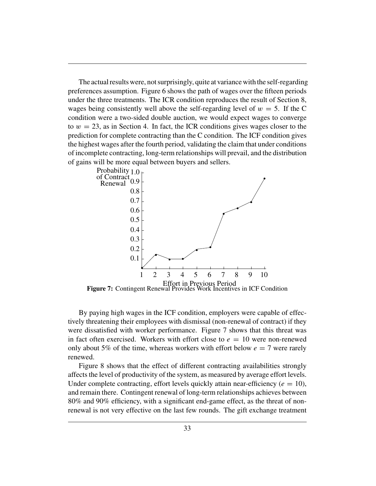The actual results were, not surprisingly, quite at variance with the self-regarding preferences assumption. Figure 6 shows the path of wages over the fifteen periods under the three treatments. The ICR condition reproduces the result of Section 8, wages being consistently well above the self-regarding level of  $w = 5$ . If the C condition were a two-sided double auction, we would expect wages to converge to  $w = 23$ , as in Section 4. In fact, the ICR conditions gives wages closer to the prediction for complete contracting than the C condition. The ICF condition gives the highest wages after the fourth period, validating the claim that under conditions of incomplete contracting, long-term relationships will prevail, and the distribution of gains will be more equal between buyers and sellers.



Effort in Previous Period **Figure 7:** Contingent Renewal Provides Work Incentives in ICF Condition

By paying high wages in the ICF condition, employers were capable of effectively threatening their employees with dismissal (non-renewal of contract) if they were dissatisfied with worker performance. Figure 7 shows that this threat was in fact often exercised. Workers with effort close to  $e = 10$  were non-renewed only about 5% of the time, whereas workers with effort below  $e = 7$  were rarely renewed.

Figure 8 shows that the effect of different contracting availabilities strongly affects the level of productivity of the system, as measured by average effort levels. Under complete contracting, effort levels quickly attain near-efficiency ( $e = 10$ ), and remain there. Contingent renewal of long-term relationships achieves between 80% and 90% efficiency, with a significant end-game effect, as the threat of nonrenewal is not very effective on the last few rounds. The gift exchange treatment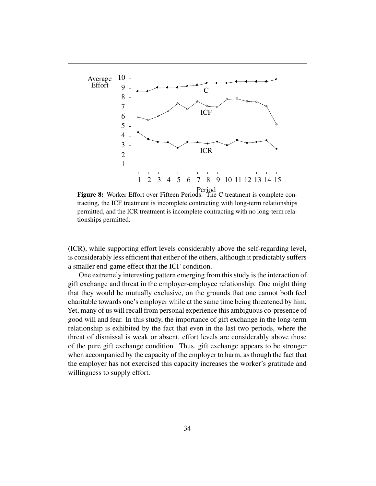

Period **Figure 8:** Worker Effort over Fifteen Periods. The C treatment is complete contracting, the ICF treatment is incomplete contracting with long-term relationships permitted, and the ICR treatment is incomplete contracting with no long-term relationships permitted.

(ICR), while supporting effort levels considerably above the self-regarding level, is considerably less efficient that either of the others, although it predictably suffers a smaller end-game effect that the ICF condition.

One extremely interesting pattern emerging from this study is the interaction of gift exchange and threat in the employer-employee relationship. One might thing that they would be mutually exclusive, on the grounds that one cannot both feel charitable towards one's employer while at the same time being threatened by him. Yet, many of us will recall from personal experience this ambiguous co-presence of good will and fear. In this study, the importance of gift exchange in the long-term relationship is exhibited by the fact that even in the last two periods, where the threat of dismissal is weak or absent, effort levels are considerably above those of the pure gift exchange condition. Thus, gift exchange appears to be stronger when accompanied by the capacity of the employer to harm, as though the fact that the employer has not exercised this capacity increases the worker's gratitude and willingness to supply effort.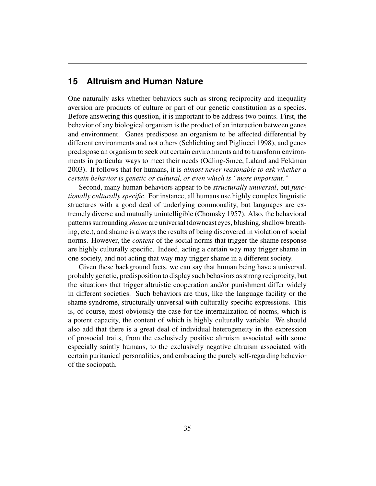# **15 Altruism and Human Nature**

One naturally asks whether behaviors such as strong reciprocity and inequality aversion are products of culture or part of our genetic constitution as a species. Before answering this question, it is important to be address two points. First, the behavior of any biological organism is the product of an interaction between genes and environment. Genes predispose an organism to be affected differential by different environments and not others (Schlichting and Pigliucci 1998), and genes predispose an organism to seek out certain environments and to transform environments in particular ways to meet their needs (Odling-Smee, Laland and Feldman 2003). It follows that for humans, it is *almost never reasonable to ask whether a certain behavior is genetic or cultural, or even which is "more important."*

Second, many human behaviors appear to be *structurally universal*, but *functionally culturally specific*. For instance, all humans use highly complex linguistic structures with a good deal of underlying commonality, but languages are extremely diverse and mutually unintelligible (Chomsky 1957). Also, the behavioral patterns surrounding *shame* are universal (downcast eyes, blushing, shallow breathing, etc.), and shame is always the results of being discovered in violation of social norms. However, the *content* of the social norms that trigger the shame response are highly culturally specific. Indeed, acting a certain way may trigger shame in one society, and not acting that way may trigger shame in a different society.

Given these background facts, we can say that human being have a universal, probably genetic, predisposition to display such behaviors as strong reciprocity, but the situations that trigger altruistic cooperation and/or punishment differ widely in different societies. Such behaviors are thus, like the language facility or the shame syndrome, structurally universal with culturally specific expressions. This is, of course, most obviously the case for the internalization of norms, which is a potent capacity, the content of which is highly culturally variable. We should also add that there is a great deal of individual heterogeneity in the expression of prosocial traits, from the exclusively positive altruism associated with some especially saintly humans, to the exclusively negative altruism associated with certain puritanical personalities, and embracing the purely self-regarding behavior of the sociopath.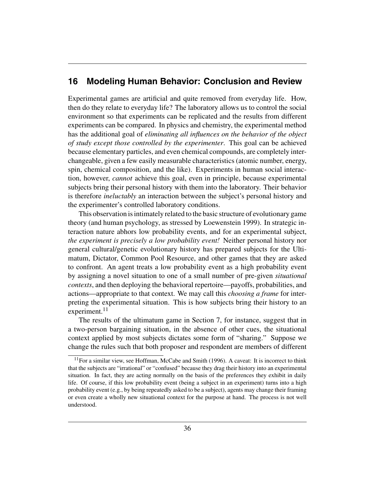## **16 Modeling Human Behavior: Conclusion and Review**

Experimental games are artificial and quite removed from everyday life. How, then do they relate to everyday life? The laboratory allows us to control the social environment so that experiments can be replicated and the results from different experiments can be compared. In physics and chemistry, the experimental method has the additional goal of *eliminating all influences on the behavior of the object of study except those controlled by the experimenter*. This goal can be achieved because elementary particles, and even chemical compounds, are completely interchangeable, given a few easily measurable characteristics (atomic number, energy, spin, chemical composition, and the like). Experiments in human social interaction, however, *cannot* achieve this goal, even in principle, because experimental subjects bring their personal history with them into the laboratory. Their behavior is therefore *ineluctably* an interaction between the subject's personal history and the experimenter's controlled laboratory conditions.

This observation is intimately related to the basic structure of evolutionary game theory (and human psychology, as stressed by Loewenstein 1999). In strategic interaction nature abhors low probability events, and for an experimental subject, *the experiment is precisely a low probability event!* Neither personal history nor general cultural/genetic evolutionary history has prepared subjects for the Ultimatum, Dictator, Common Pool Resource, and other games that they are asked to confront. An agent treats a low probability event as a high probability event by assigning a novel situation to one of a small number of pre-given *situational contexts*, and then deploying the behavioral repertoire—payoffs, probabilities, and actions—appropriate to that context. We may call this *choosing a frame* for interpreting the experimental situation. This is how subjects bring their history to an experiment. $11$ 

The results of the ultimatum game in Section 7, for instance, suggest that in a two-person bargaining situation, in the absence of other cues, the situational context applied by most subjects dictates some form of "sharing." Suppose we change the rules such that both proposer and respondent are members of different

 $11$  For a similar view, see Hoffman, McCabe and Smith (1996). A caveat: It is incorrect to think that the subjects are "irrational" or "confused" because they drag their history into an experimental situation. In fact, they are acting normally on the basis of the preferences they exhibit in daily life. Of course, if this low probability event (being a subject in an experiment) turns into a high probability event (e.g., by being repeatedly asked to be a subject), agents may change their framing or even create a wholly new situational context for the purpose at hand. The process is not well understood.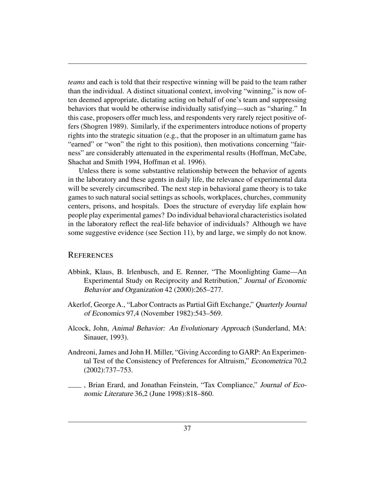*teams* and each is told that their respective winning will be paid to the team rather than the individual. A distinct situational context, involving "winning," is now often deemed appropriate, dictating acting on behalf of one's team and suppressing behaviors that would be otherwise individually satisfying—such as "sharing." In this case, proposers offer much less, and respondents very rarely reject positive offers (Shogren 1989). Similarly, if the experimenters introduce notions of property rights into the strategic situation (e.g., that the proposer in an ultimatum game has "earned" or "won" the right to this position), then motivations concerning "fairness" are considerably attenuated in the experimental results (Hoffman, McCabe, Shachat and Smith 1994, Hoffman et al. 1996).

Unless there is some substantive relationship between the behavior of agents in the laboratory and these agents in daily life, the relevance of experimental data will be severely circumscribed. The next step in behavioral game theory is to take games to such natural social settings as schools, workplaces, churches, community centers, prisons, and hospitals. Does the structure of everyday life explain how people play experimental games? Do individual behavioral characteristics isolated in the laboratory reflect the real-life behavior of individuals? Although we have some suggestive evidence (see Section 11), by and large, we simply do not know.

#### **REFERENCES**

- Abbink, Klaus, B. Irlenbusch, and E. Renner, "The Moonlighting Game—An Experimental Study on Reciprocity and Retribution," *Journal of Economic Behavior and Organization* 42 (2000):265–277.
- Akerlof, George A., "Labor Contracts as Partial Gift Exchange," *Quarterly Journal of Economics* 97,4 (November 1982):543–569.
- Alcock, John, *Animal Behavior: An Evolutionary Approach* (Sunderland, MA: Sinauer, 1993).
- Andreoni, James and John H. Miller, "Giving According to GARP: An Experimental Test of the Consistency of Preferences for Altruism," *Econometrica* 70,2 (2002):737–753.
- , Brian Erard, and Jonathan Feinstein, "Tax Compliance," *Journal of Economic Literature* 36,2 (June 1998):818–860.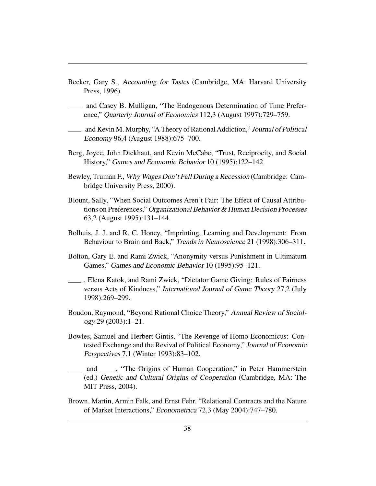- Becker, Gary S., *Accounting for Tastes* (Cambridge, MA: Harvard University Press, 1996).
- and Casey B. Mulligan, "The Endogenous Determination of Time Preference," *Quarterly Journal of Economics* 112,3 (August 1997):729–759.
- and Kevin M. Murphy, "A Theory of RationalAddiction," *Journal of Political Economy* 96,4 (August 1988):675–700.
- Berg, Joyce, John Dickhaut, and Kevin McCabe, "Trust, Reciprocity, and Social History," *Games and Economic Behavior* 10 (1995):122–142.
- Bewley, Truman F., *Why Wages Don't Fall During a Recession* (Cambridge: Cambridge University Press, 2000).
- Blount, Sally, "When Social Outcomes Aren't Fair: The Effect of Causal Attributions on Preferences," *Organizational Behavior & Human Decision Processes* 63,2 (August 1995):131–144.
- Bolhuis, J. J. and R. C. Honey, "Imprinting, Learning and Development: From Behaviour to Brain and Back," *Trends in Neuroscience* 21 (1998):306–311.
- Bolton, Gary E. and Rami Zwick, "Anonymity versus Punishment in Ultimatum Games," *Games and Economic Behavior* 10 (1995):95–121.
- , Elena Katok, and Rami Zwick, "Dictator Game Giving: Rules of Fairness versus Acts of Kindness," *International Journal of Game Theory* 27,2 (July 1998):269–299.
- Boudon, Raymond, "Beyond Rational Choice Theory," *Annual Review of Sociology* 29 (2003):1–21.
- Bowles, Samuel and Herbert Gintis, "The Revenge of Homo Economicus: Contested Exchange and the Revival of Political Economy," *Journal of Economic Perspectives* 7,1 (Winter 1993):83–102.
- and  $\frac{1}{\sqrt{1-\frac{1}{\sqrt{1-\frac{1}{\sqrt{1-\frac{1}{\sqrt{1-\frac{1}{\sqrt{1-\frac{1}{\sqrt{1-\frac{1}{\sqrt{1-\frac{1}{\sqrt{1-\frac{1}{\sqrt{1-\frac{1}{\sqrt{1-\frac{1}{\sqrt{1-\frac{1}{\sqrt{1-\frac{1}{\sqrt{1-\frac{1}{\sqrt{1-\frac{1}{\sqrt{1-\frac{1}{\sqrt{1-\frac{1}{\sqrt{1-\frac{1}{\sqrt{1-\frac{1}{\sqrt{1-\frac{1}{\sqrt{1-\frac{1}{\sqrt{1-\frac{1}{\sqrt{1-\frac{1}{\sqrt{1-\frac{1}{\sqrt{1-\$ (ed.) *Genetic and Cultural Origins of Cooperation* (Cambridge, MA: The MIT Press, 2004).
- Brown, Martin, Armin Falk, and Ernst Fehr, "Relational Contracts and the Nature of Market Interactions," *Econometrica* 72,3 (May 2004):747–780.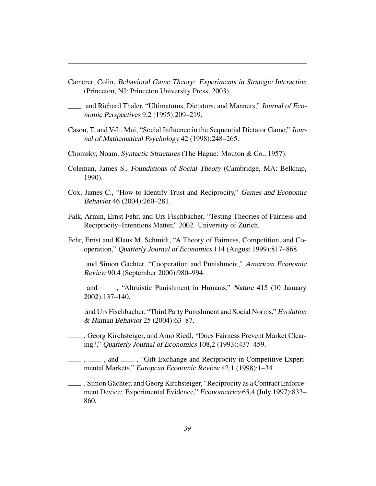- Camerer, Colin, *Behavioral Game Theory: Experiments in Strategic Interaction* (Princeton, NJ: Princeton University Press, 2003).
- and Richard Thaler, "Ultimatums, Dictators, and Manners," *Journal of Economic Perspectives* 9,2 (1995):209–219.
- Cason, T. and V-L. Mui, "Social Influence in the Sequential Dictator Game," *Journal of Mathematical Psychology* 42 (1998):248–265.
- Chomsky, Noam, *Syntactic Structures* (The Hague: Mouton & Co., 1957).
- Coleman, James S., *Foundations of Social Theory* (Cambridge, MA: Belknap, 1990).
- Cox, James C., "How to Identify Trust and Reciprocity," *Games and Economic Behavior* 46 (2004):260–281.
- Falk, Armin, Ernst Fehr, and Urs Fischbacher, "Testing Theories of Fairness and Reciprocity–Intentions Matter," 2002. University of Zurich.
- Fehr, Ernst and Klaus M. Schmidt, "A Theory of Fairness, Competition, and Cooperation," *Quarterly Journal of Economics* 114 (August 1999):817–868.
- and Simon Gächter, "Cooperation and Punishment," *American Economic Review* 90,4 (September 2000):980–994.
- and \_\_\_, "Altruistic Punishment in Humans," *Nature* 415 (10 January 2002):137–140.
- and Urs Fischbacher, "Third Party Punishment and Social Norms," *Evolution & Human Behavior* 25 (2004):63–87.
- , Georg Kirchsteiger, and Arno Riedl, "Does Fairness Prevent Market Clearing?," *Quarterly Journal of Economics* 108,2 (1993):437–459.
- $\Box$ , and  $\Box$ , "Gift Exchange and Reciprocity in Competitive Experimental Markets," *European Economic Review* 42,1 (1998):1–34.
- , Simon Gächter, and Georg Kirchsteiger, "Reciprocity as a Contract Enforcement Device: Experimental Evidence," *Econometrica* 65,4 (July 1997):833– 860.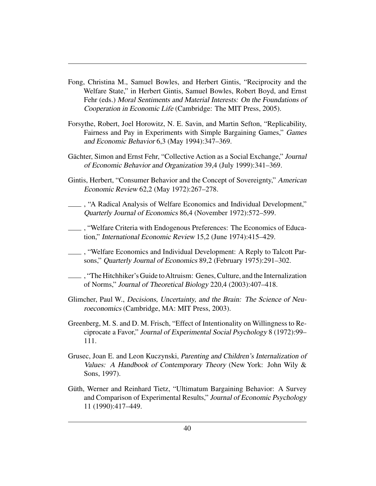- Fong, Christina M., Samuel Bowles, and Herbert Gintis, "Reciprocity and the Welfare State," in Herbert Gintis, Samuel Bowles, Robert Boyd, and Ernst Fehr (eds.) *Moral Sentiments and Material Interests: On the Foundations of Cooperation in Economic Life* (Cambridge: The MIT Press, 2005).
- Forsythe, Robert, Joel Horowitz, N. E. Savin, and Martin Sefton, "Replicability, Fairness and Pay in Experiments with Simple Bargaining Games," *Games and Economic Behavior* 6,3 (May 1994):347–369.
- Gächter, Simon and Ernst Fehr, "Collective Action as a Social Exchange," *Journal of Economic Behavior and Organization* 39,4 (July 1999):341–369.
- Gintis, Herbert, "Consumer Behavior and the Concept of Sovereignty," *American Economic Review* 62,2 (May 1972):267–278.
- , "A Radical Analysis of Welfare Economics and Individual Development," *Quarterly Journal of Economics* 86,4 (November 1972):572–599.
- , "Welfare Criteria with Endogenous Preferences: The Economics of Education," *International Economic Review* 15,2 (June 1974):415–429.
- , "Welfare Economics and Individual Development: A Reply to Talcott Parsons," *Quarterly Journal of Economics* 89,2 (February 1975):291–302.
- , "The Hitchhiker's Guide toAltruism: Genes, Culture, and the Internalization of Norms," *Journal of Theoretical Biology* 220,4 (2003):407–418.
- Glimcher, Paul W., *Decisions, Uncertainty, and the Brain: The Science of Neuroeconomics* (Cambridge, MA: MIT Press, 2003).
- Greenberg, M. S. and D. M. Frisch, "Effect of Intentionality on Willingness to Reciprocate a Favor," *Journal of Experimental Social Psychology* 8 (1972):99– 111.
- Grusec, Joan E. and Leon Kuczynski, *Parenting and Children's Internalization of Values: A Handbook of Contemporary Theory* (New York: John Wily & Sons, 1997).
- Güth, Werner and Reinhard Tietz, "Ultimatum Bargaining Behavior: A Survey and Comparison of Experimental Results," *Journal of Economic Psychology* 11 (1990):417–449.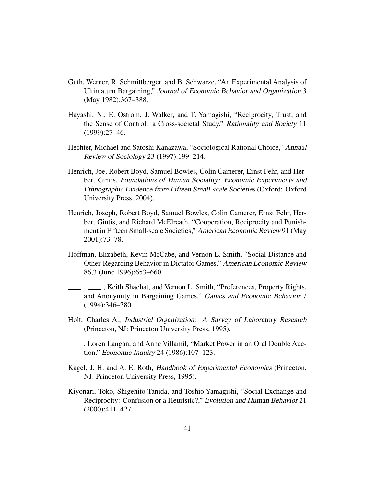- Güth, Werner, R. Schmittberger, and B. Schwarze, "An Experimental Analysis of Ultimatum Bargaining," *Journal of Economic Behavior and Organization* 3 (May 1982):367–388.
- Hayashi, N., E. Ostrom, J. Walker, and T. Yamagishi, "Reciprocity, Trust, and the Sense of Control: a Cross-societal Study," *Rationality and Society* 11 (1999):27–46.
- Hechter, Michael and Satoshi Kanazawa, "Sociological Rational Choice," *Annual Review of Sociology* 23 (1997):199–214.
- Henrich, Joe, Robert Boyd, Samuel Bowles, Colin Camerer, Ernst Fehr, and Herbert Gintis, *Foundations of Human Sociality: Economic Experiments and Ethnographic Evidence from Fifteen Small-scale Societies* (Oxford: Oxford University Press, 2004).
- Henrich, Joseph, Robert Boyd, Samuel Bowles, Colin Camerer, Ernst Fehr, Herbert Gintis, and Richard McElreath, "Cooperation, Reciprocity and Punishment in Fifteen Small-scale Societies," *American Economic Review* 91 (May 2001):73–78.
- Hoffman, Elizabeth, Kevin McCabe, and Vernon L. Smith, "Social Distance and Other-Regarding Behavior in Dictator Games," *American Economic Review* 86,3 (June 1996):653–660.
- , \_\_\_\_, Keith Shachat, and Vernon L. Smith, "Preferences, Property Rights, and Anonymity in Bargaining Games," *Games and Economic Behavior* 7 (1994):346–380.
- Holt, Charles A., *Industrial Organization: A Survey of Laboratory Research* (Princeton, NJ: Princeton University Press, 1995).
- Loren Langan, and Anne Villamil, "Market Power in an Oral Double Auction," *Economic Inquiry* 24 (1986):107–123.
- Kagel, J. H. and A. E. Roth, *Handbook of Experimental Economics* (Princeton, NJ: Princeton University Press, 1995).
- Kiyonari, Toko, Shigehito Tanida, and Toshio Yamagishi, "Social Exchange and Reciprocity: Confusion or a Heuristic?," *Evolution and Human Behavior* 21 (2000):411–427.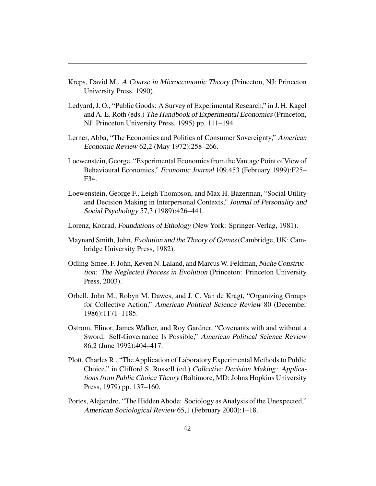Kreps, David M., *A Course in Microeconomic Theory* (Princeton, NJ: Princeton University Press, 1990).

- Ledyard, J. O., "Public Goods: A Survey of Experimental Research," in J. H. Kagel and A. E. Roth (eds.) *The Handbook of Experimental Economics* (Princeton, NJ: Princeton University Press, 1995) pp. 111–194.
- Lerner, Abba, "The Economics and Politics of Consumer Sovereignty," *American Economic Review* 62,2 (May 1972):258–266.
- Loewenstein, George, "Experimental Economics from the Vantage Point of View of Behavioural Economics," *Economic Journal* 109,453 (February 1999):F25– F34.
- Loewenstein, George F., Leigh Thompson, and Max H. Bazerman, "Social Utility and Decision Making in Interpersonal Contexts," *Journal of Personality and Social Psychology* 57,3 (1989):426–441.
- Lorenz, Konrad, *Foundations of Ethology* (New York: Springer-Verlag, 1981).
- Maynard Smith, John, *Evolution and the Theory of Games*(Cambridge, UK: Cambridge University Press, 1982).
- Odling-Smee, F. John, Keven N. Laland, and Marcus W. Feldman, *Niche Construction: The Neglected Process in Evolution* (Princeton: Princeton University Press, 2003).
- Orbell, John M., Robyn M. Dawes, and J. C. Van de Kragt, "Organizing Groups for Collective Action," *American Political Science Review* 80 (December 1986):1171–1185.
- Ostrom, Elinor, James Walker, and Roy Gardner, "Covenants with and without a Sword: Self-Governance Is Possible," *American Political Science Review* 86,2 (June 1992):404–417.
- Plott, Charles R., "The Application of Laboratory Experimental Methods to Public Choice," in Clifford S. Russell (ed.) *Collective Decision Making: Applications from Public Choice Theory* (Baltimore, MD: Johns Hopkins University Press, 1979) pp. 137–160.
- Portes, Alejandro, "The Hidden Abode: Sociology as Analysis of the Unexpected," *American Sociological Review* 65,1 (February 2000):1–18.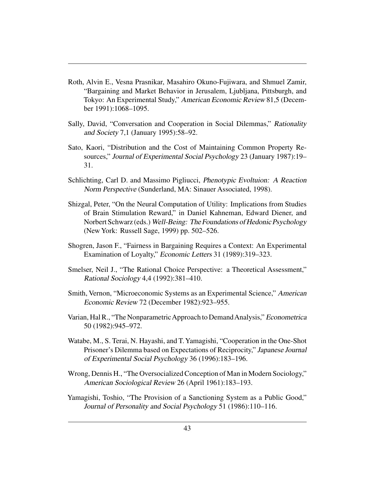- Roth, Alvin E., Vesna Prasnikar, Masahiro Okuno-Fujiwara, and Shmuel Zamir, "Bargaining and Market Behavior in Jerusalem, Ljubljana, Pittsburgh, and Tokyo: An Experimental Study," *American Economic Review* 81,5 (December 1991):1068–1095.
- Sally, David, "Conversation and Cooperation in Social Dilemmas," *Rationality and Society* 7,1 (January 1995):58–92.
- Sato, Kaori, "Distribution and the Cost of Maintaining Common Property Resources," *Journal of Experimental Social Psychology* 23 (January 1987):19– 31.
- Schlichting, Carl D. and Massimo Pigliucci, *Phenotypic Evoltuion: A Reaction Norm Perspective* (Sunderland, MA: Sinauer Associated, 1998).
- Shizgal, Peter, "On the Neural Computation of Utility: Implications from Studies of Brain Stimulation Reward," in Daniel Kahneman, Edward Diener, and Norbert Schwarz (eds.)*Well-Being: The Foundations of Hedonic Psychology* (New York: Russell Sage, 1999) pp. 502–526.
- Shogren, Jason F., "Fairness in Bargaining Requires a Context: An Experimental Examination of Loyalty," *Economic Letters* 31 (1989):319–323.
- Smelser, Neil J., "The Rational Choice Perspective: a Theoretical Assessment," *Rational Sociology* 4,4 (1992):381–410.
- Smith, Vernon, "Microeconomic Systems as an Experimental Science," *American Economic Review* 72 (December 1982):923–955.
- Varian, Hal R., "The NonparametricApproach to DemandAnalysis," *Econometrica* 50 (1982):945–972.
- Watabe, M., S. Terai, N. Hayashi, and T.Yamagishi, "Cooperation in the One-Shot Prisoner's Dilemma based on Expectations of Reciprocity," *Japanese Journal of Experimental Social Psychology* 36 (1996):183–196.
- Wrong, Dennis H., "The Oversocialized Conception of Man in Modern Sociology," *American Sociological Review* 26 (April 1961):183–193.
- Yamagishi, Toshio, "The Provision of a Sanctioning System as a Public Good," *Journal of Personality and Social Psychology* 51 (1986):110–116.